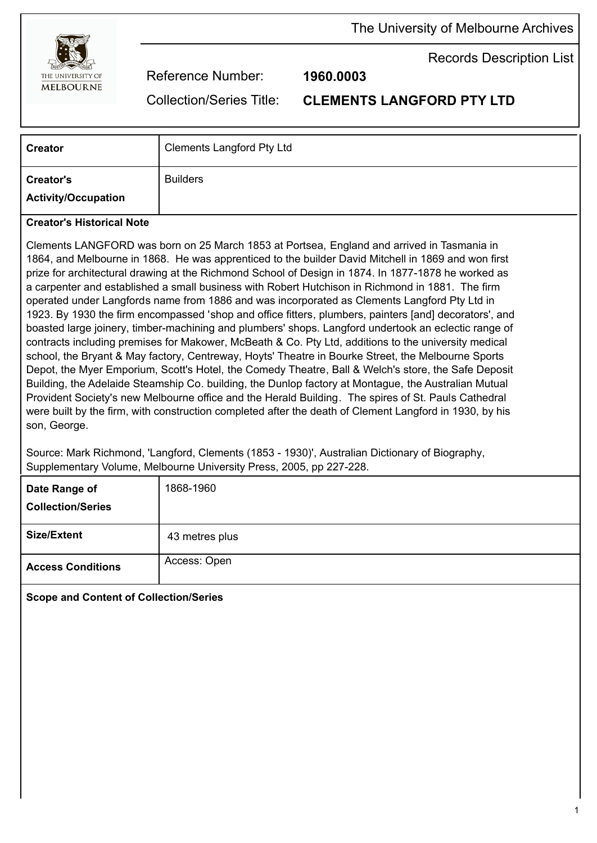

The University of Melbourne Archives

Records Description List

Reference Number: **1960.0003**

Collection/Series Title: **CLEMENTS LANGFORD PTY LTD**

| <b>Creator</b>                                 | <b>Clements Langford Pty Ltd</b> |
|------------------------------------------------|----------------------------------|
| <b>Creator's</b><br><b>Activity/Occupation</b> | <b>Builders</b>                  |

## **Creator's Historical Note**

Clements LANGFORD was born on 25 March 1853 at Portsea, England and arrived in Tasmania in 1864, and Melbourne in 1868. He was apprenticed to the builder David Mitchell in 1869 and won first prize for architectural drawing at the Richmond School of Design in 1874. In 1877-1878 he worked as a carpenter and established a small business with Robert Hutchison in Richmond in 1881. The firm operated under Langfords name from 1886 and was incorporated as Clements Langford Pty Ltd in 1923. By 1930 the firm encompassed 'shop and office fitters, plumbers, painters [and] decorators', and boasted large joinery, timber-machining and plumbers' shops. Langford undertook an eclectic range of contracts including premises for Makower, McBeath & Co. Pty Ltd, additions to the university medical school, the Bryant & May factory, Centreway, Hoyts' Theatre in Bourke Street, the Melbourne Sports Depot, the Myer Emporium, Scott's Hotel, the Comedy Theatre, Ball & Welch's store, the Safe Deposit Building, the Adelaide Steamship Co. building, the Dunlop factory at Montague, the Australian Mutual Provident Society's new Melbourne office and the Herald Building. The spires of St. Pauls Cathedral were built by the firm, with construction completed after the death of Clement Langford in 1930, by his son, George.

Source: Mark Richmond, 'Langford, Clements (1853 - 1930)', Australian Dictionary of Biography, Supplementary Volume, Melbourne University Press, 2005, pp 227-228.

| Date Range of<br><b>Collection/Series</b> | 1868-1960      |
|-------------------------------------------|----------------|
| <b>Size/Extent</b>                        | 43 metres plus |
| <b>Access Conditions</b>                  | Access: Open   |

**Scope and Content of Collection/Series**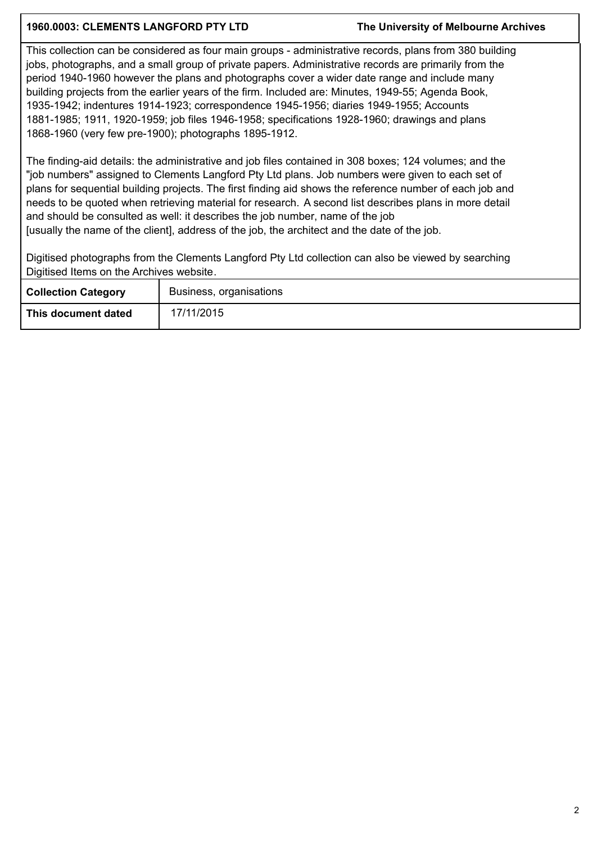## **1960.0003: CLEMENTS LANGFORD PTY LTD The University of Melbourne Archives**

This collection can be considered as four main groups - administrative records, plans from 380 building jobs, photographs, and a small group of private papers. Administrative records are primarily from the period 1940-1960 however the plans and photographs cover a wider date range and include many building projects from the earlier years of the firm. Included are: Minutes, 1949-55; Agenda Book, 1935-1942; indentures 1914-1923; correspondence 1945-1956; diaries 1949-1955; Accounts 1881-1985; 1911, 1920-1959; job files 1946-1958; specifications 1928-1960; drawings and plans 1868-1960 (very few pre-1900); photographs 1895-1912.

The finding-aid details: the administrative and job files contained in 308 boxes; 124 volumes; and the "job numbers" assigned to Clements Langford Pty Ltd plans. Job numbers were given to each set of plans for sequential building projects. The first finding aid shows the reference number of each job and needs to be quoted when retrieving material for research. A second list describes plans in more detail and should be consulted as well: it describes the job number, name of the job [usually the name of the client], address of the job, the architect and the date of the job.

Digitised photographs from the Clements Langford Pty Ltd collection can also be viewed by searching Digitised Items on the Archives website.

| <b>Collection Category</b> | Business, organisations |
|----------------------------|-------------------------|
| This document dated        | 17/11/2015              |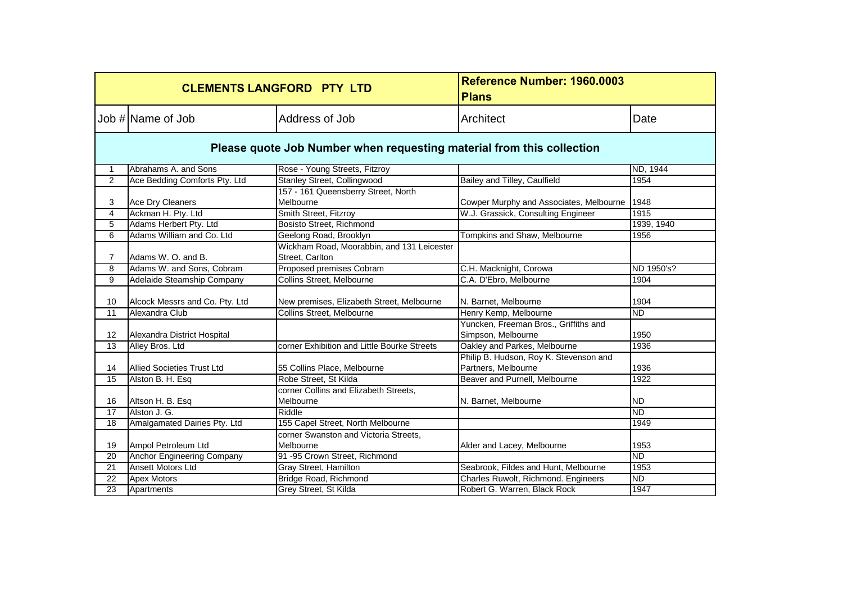|                 |                                                                       | <b>CLEMENTS LANGFORD PTY LTD</b>                              | Reference Number: 1960.0003<br><b>Plans</b>                   |            |  |  |
|-----------------|-----------------------------------------------------------------------|---------------------------------------------------------------|---------------------------------------------------------------|------------|--|--|
|                 | Job # Name of Job                                                     | Address of Job                                                | Architect                                                     | Date       |  |  |
|                 | Please quote Job Number when requesting material from this collection |                                                               |                                                               |            |  |  |
| $\mathbf 1$     | Abrahams A. and Sons                                                  | Rose - Young Streets, Fitzroy                                 |                                                               | ND, 1944   |  |  |
| 2               | Ace Bedding Comforts Pty. Ltd                                         | <b>Stanley Street, Collingwood</b>                            | Bailey and Tilley, Caulfield                                  | 1954       |  |  |
| 3               | Ace Dry Cleaners                                                      | 157 - 161 Queensberry Street, North<br>Melbourne              | Cowper Murphy and Associates, Melbourne                       | 1948       |  |  |
| 4               | Ackman H. Pty. Ltd                                                    | Smith Street, Fitzroy                                         | W.J. Grassick, Consulting Engineer                            | 1915       |  |  |
| 5               | Adams Herbert Pty. Ltd                                                | Bosisto Street, Richmond                                      |                                                               | 1939, 1940 |  |  |
| 6               | Adams William and Co. Ltd                                             | Geelong Road, Brooklyn                                        | Tompkins and Shaw, Melbourne                                  | 1956       |  |  |
| 7               | Adams W. O. and B.                                                    | Wickham Road, Moorabbin, and 131 Leicester<br>Street, Carlton |                                                               |            |  |  |
| 8               | Adams W. and Sons, Cobram                                             | Proposed premises Cobram                                      | C.H. Macknight, Corowa                                        | ND 1950's? |  |  |
| 9               | Adelaide Steamship Company                                            | Collins Street, Melbourne                                     | C.A. D'Ebro, Melbourne                                        | 1904       |  |  |
| 10              | Alcock Messrs and Co. Pty. Ltd                                        | New premises, Elizabeth Street, Melbourne                     | N. Barnet, Melbourne                                          | 1904       |  |  |
| $\overline{11}$ | Alexandra Club                                                        | Collins Street, Melbourne                                     | Henry Kemp, Melbourne                                         | <b>ND</b>  |  |  |
| 12              | Alexandra District Hospital                                           |                                                               | Yuncken, Freeman Bros., Griffiths and<br>Simpson, Melbourne   | 1950       |  |  |
| $\overline{13}$ | Alley Bros. Ltd                                                       | corner Exhibition and Little Bourke Streets                   | Oakley and Parkes, Melbourne                                  | 1936       |  |  |
| 14              | <b>Allied Societies Trust Ltd</b>                                     | 55 Collins Place, Melbourne                                   | Philip B. Hudson, Roy K. Stevenson and<br>Partners, Melbourne | 1936       |  |  |
| 15              | Alston B. H. Esq                                                      | Robe Street, St Kilda                                         | Beaver and Purnell, Melbourne                                 | 1922       |  |  |
| 16              | Altson H. B. Esq                                                      | corner Collins and Elizabeth Streets,<br>Melbourne            | N. Barnet, Melbourne                                          | <b>ND</b>  |  |  |
| 17              | Alston J. G.                                                          | Riddle                                                        |                                                               | <b>ND</b>  |  |  |
| $\overline{18}$ | Amalgamated Dairies Pty. Ltd                                          | 155 Capel Street, North Melbourne                             |                                                               | 1949       |  |  |
| 19              | Ampol Petroleum Ltd                                                   | corner Swanston and Victoria Streets.<br>Melbourne            | Alder and Lacey, Melbourne                                    | 1953       |  |  |
| 20              | <b>Anchor Engineering Company</b>                                     | 91 -95 Crown Street, Richmond                                 |                                                               | <b>ND</b>  |  |  |
| 21              | <b>Ansett Motors Ltd</b>                                              | Gray Street, Hamilton                                         | Seabrook, Fildes and Hunt, Melbourne                          | 1953       |  |  |
| 22              | <b>Apex Motors</b>                                                    | Bridge Road, Richmond                                         | Charles Ruwolt, Richmond. Engineers                           | <b>ND</b>  |  |  |
| 23              | Apartments                                                            | Grey Street, St Kilda                                         | Robert G. Warren, Black Rock                                  | 1947       |  |  |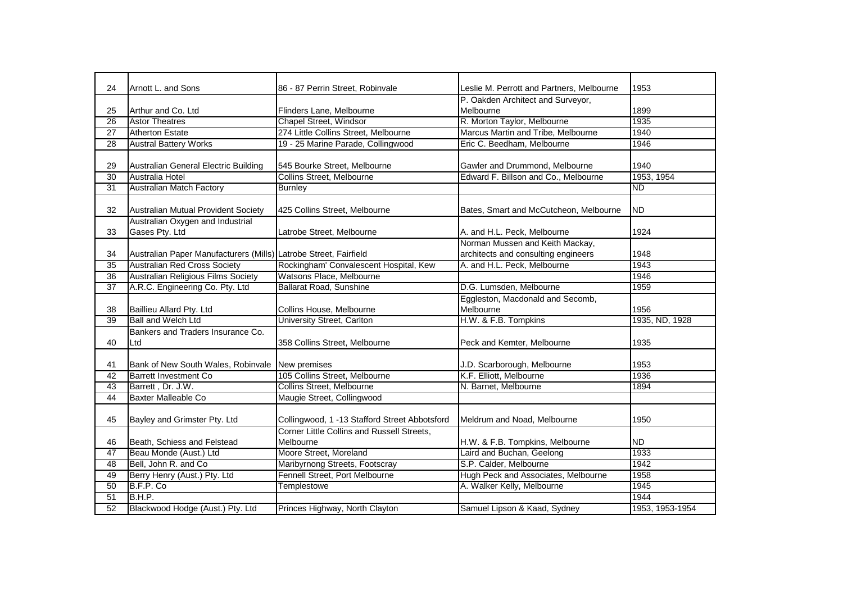| 24              | Arnott L. and Sons                                               | 86 - 87 Perrin Street, Robinvale              | Leslie M. Perrott and Partners, Melbourne              | 1953            |
|-----------------|------------------------------------------------------------------|-----------------------------------------------|--------------------------------------------------------|-----------------|
|                 |                                                                  |                                               | P. Oakden Architect and Surveyor,                      |                 |
| 25              | Arthur and Co. Ltd                                               | Flinders Lane, Melbourne                      | Melbourne                                              | 1899            |
| $\overline{26}$ | <b>Astor Theatres</b>                                            | Chapel Street, Windsor                        | R. Morton Taylor, Melbourne                            | 1935            |
| $\overline{27}$ | <b>Atherton Estate</b>                                           | 274 Little Collins Street, Melbourne          | Marcus Martin and Tribe, Melbourne                     | 1940            |
| 28              | <b>Austral Battery Works</b>                                     | 19 - 25 Marine Parade, Collingwood            | Eric C. Beedham, Melbourne                             | 1946            |
|                 |                                                                  |                                               |                                                        |                 |
| 29              | Australian General Electric Building                             | 545 Bourke Street, Melbourne                  | Gawler and Drummond, Melbourne                         | 1940            |
| 30              | Australia Hotel                                                  | Collins Street, Melbourne                     | Edward F. Billson and Co., Melbourne                   | 1953, 1954      |
| 31              | <b>Australian Match Factory</b>                                  | <b>Burnley</b>                                |                                                        | <b>ND</b>       |
|                 |                                                                  |                                               |                                                        |                 |
| 32              | Australian Mutual Provident Society                              | 425 Collins Street, Melbourne                 | Bates, Smart and McCutcheon, Melbourne                 | <b>ND</b>       |
|                 | Australian Oxygen and Industrial                                 |                                               |                                                        |                 |
| 33              | Gases Pty. Ltd                                                   | Latrobe Street, Melbourne                     | A. and H.L. Peck, Melbourne                            | 1924            |
|                 |                                                                  |                                               | Norman Mussen and Keith Mackay,                        |                 |
| 34              | Australian Paper Manufacturers (Mills) Latrobe Street, Fairfield |                                               | architects and consulting engineers                    | 1948            |
| 35              | <b>Australian Red Cross Society</b>                              | Rockingham' Convalescent Hospital, Kew        | A. and H.L. Peck, Melbourne                            | 1943            |
| 36              | Australian Religious Films Society                               | Watsons Place, Melbourne                      |                                                        | 1946            |
| 37              | A.R.C. Engineering Co. Pty. Ltd                                  | <b>Ballarat Road, Sunshine</b>                | D.G. Lumsden, Melbourne                                | 1959            |
|                 |                                                                  |                                               | Eggleston, Macdonald and Secomb,                       |                 |
| 38              | Baillieu Allard Pty. Ltd                                         | Collins House, Melbourne                      | Melbourne                                              | 1956            |
| 39              | <b>Ball and Welch Ltd</b>                                        | <b>University Street, Carlton</b>             | H.W. & F.B. Tompkins                                   | 1935, ND, 1928  |
|                 | Bankers and Traders Insurance Co.                                |                                               |                                                        |                 |
| 40              | Ltd                                                              | 358 Collins Street, Melbourne                 | Peck and Kemter, Melbourne                             | 1935            |
|                 |                                                                  |                                               |                                                        |                 |
|                 |                                                                  |                                               |                                                        |                 |
| 41              | Bank of New South Wales, Robinvale New premises                  | 105 Collins Street, Melbourne                 | J.D. Scarborough, Melbourne<br>K.F. Elliott, Melbourne | 1953<br>1936    |
| 42              | <b>Barrett Investment Co</b>                                     |                                               |                                                        |                 |
| 43              | Barrett, Dr. J.W.<br><b>Baxter Malleable Co</b>                  | Collins Street, Melbourne                     | N. Barnet, Melbourne                                   | 1894            |
| 44              |                                                                  | Maugie Street, Collingwood                    |                                                        |                 |
|                 |                                                                  |                                               |                                                        |                 |
| 45              | Bayley and Grimster Pty. Ltd                                     | Collingwood, 1 -13 Stafford Street Abbotsford | Meldrum and Noad, Melbourne                            | 1950            |
|                 |                                                                  | Corner Little Collins and Russell Streets,    |                                                        |                 |
| 46              | Beath, Schiess and Felstead                                      | Melbourne                                     | H.W. & F.B. Tompkins, Melbourne                        | <b>ND</b>       |
| 47              | Beau Monde (Aust.) Ltd                                           | Moore Street, Moreland                        | Laird and Buchan, Geelong                              | 1933            |
| 48              | Bell, John R. and Co                                             | Maribyrnong Streets, Footscray                | S.P. Calder, Melbourne                                 | 1942            |
| 49              | Berry Henry (Aust.) Pty. Ltd                                     | Fennell Street, Port Melbourne                | Hugh Peck and Associates, Melbourne                    | 1958            |
| 50              | B.F.P. Co                                                        | Templestowe                                   | A. Walker Kelly, Melbourne                             | 1945            |
| 51              | B.H.P.                                                           |                                               |                                                        | 1944            |
| 52              | Blackwood Hodge (Aust.) Pty. Ltd                                 | Princes Highway, North Clayton                | Samuel Lipson & Kaad, Sydney                           | 1953, 1953-1954 |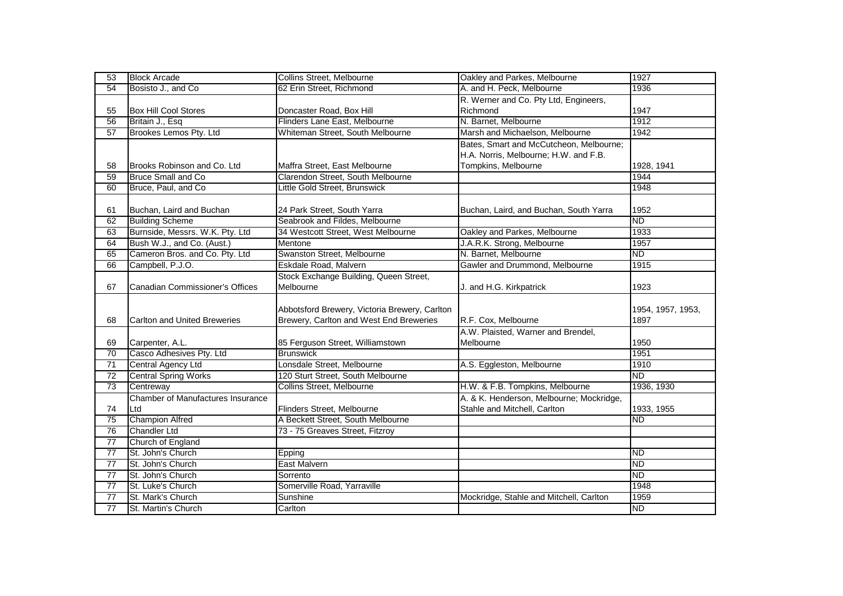| 53              | <b>Block Arcade</b>                 | Collins Street, Melbourne                     | Oakley and Parkes, Melbourne             | 1927              |
|-----------------|-------------------------------------|-----------------------------------------------|------------------------------------------|-------------------|
| 54              | Bosisto J., and Co                  | 62 Erin Street, Richmond                      | A. and H. Peck, Melbourne                | 1936              |
|                 |                                     |                                               | R. Werner and Co. Pty Ltd, Engineers,    |                   |
| 55              | <b>Box Hill Cool Stores</b>         | Doncaster Road, Box Hill                      | Richmond                                 | 1947              |
| 56              | Britain J., Esq                     | Flinders Lane East, Melbourne                 | N. Barnet, Melbourne                     | 1912              |
| 57              | Brookes Lemos Pty. Ltd              | Whiteman Street, South Melbourne              | Marsh and Michaelson, Melbourne          | 1942              |
|                 |                                     |                                               | Bates, Smart and McCutcheon, Melbourne;  |                   |
|                 |                                     |                                               | H.A. Norris, Melbourne; H.W. and F.B.    |                   |
| 58              | Brooks Robinson and Co. Ltd         | Maffra Street, East Melbourne                 | Tompkins, Melbourne                      | 1928, 1941        |
| 59              | <b>Bruce Small and Co</b>           | Clarendon Street, South Melbourne             |                                          | 1944              |
| 60              | Bruce, Paul, and Co                 | Little Gold Street, Brunswick                 |                                          | 1948              |
|                 |                                     |                                               |                                          |                   |
| 61              | Buchan, Laird and Buchan            | 24 Park Street, South Yarra                   | Buchan, Laird, and Buchan, South Yarra   | 1952              |
| 62              | <b>Building Scheme</b>              | Seabrook and Fildes, Melbourne                |                                          | <b>ND</b>         |
| 63              | Burnside, Messrs. W.K. Pty. Ltd     | 34 Westcott Street, West Melbourne            | Oakley and Parkes, Melbourne             | 1933              |
| 64              | Bush W.J., and Co. (Aust.)          | Mentone                                       | J.A.R.K. Strong, Melbourne               | 1957              |
| 65              | Cameron Bros. and Co. Pty. Ltd      | Swanston Street, Melbourne                    | N. Barnet, Melbourne                     | <b>ND</b>         |
| 66              | Campbell, P.J.O.                    | Eskdale Road, Malvern                         | Gawler and Drummond, Melbourne           | 1915              |
|                 |                                     | Stock Exchange Building, Queen Street,        |                                          |                   |
| 67              | Canadian Commissioner's Offices     | Melbourne                                     | J. and H.G. Kirkpatrick                  | 1923              |
|                 |                                     |                                               |                                          |                   |
|                 |                                     | Abbotsford Brewery, Victoria Brewery, Carlton |                                          | 1954, 1957, 1953, |
| 68              | <b>Carlton and United Breweries</b> | Brewery, Carlton and West End Breweries       | R.F. Cox, Melbourne                      | 1897              |
|                 |                                     |                                               | A.W. Plaisted, Warner and Brendel,       |                   |
| 69              | Carpenter, A.L.                     | 85 Ferguson Street, Williamstown              | Melbourne                                | 1950              |
| $\overline{70}$ | Casco Adhesives Pty. Ltd            | <b>Brunswick</b>                              |                                          | 1951              |
| 71              | Central Agency Ltd                  | Lonsdale Street, Melbourne                    | A.S. Eggleston, Melbourne                | 1910              |
| $\overline{72}$ | <b>Central Spring Works</b>         | 120 Sturt Street, South Melbourne             |                                          | <b>ND</b>         |
| 73              | Centreway                           | Collins Street, Melbourne                     | H.W. & F.B. Tompkins, Melbourne          | 1936, 1930        |
|                 | Chamber of Manufactures Insurance   |                                               | A. & K. Henderson, Melbourne; Mockridge, |                   |
| 74              | Ltd                                 | Flinders Street, Melbourne                    | Stahle and Mitchell, Carlton             | 1933, 1955        |
| 75              | <b>Champion Alfred</b>              | A Beckett Street, South Melbourne             |                                          | ND                |
| 76              | <b>Chandler Ltd</b>                 | 73 - 75 Greaves Street, Fitzroy               |                                          |                   |
| $\overline{77}$ | Church of England                   |                                               |                                          |                   |
| 77              | St. John's Church                   | Epping                                        |                                          | $\overline{ND}$   |
| $\overline{77}$ | St. John's Church                   | <b>East Malvern</b>                           |                                          | <b>ND</b>         |
|                 |                                     |                                               |                                          |                   |
| $\overline{77}$ | St. John's Church                   | Sorrento                                      |                                          | $\overline{ND}$   |
| 77              | St. Luke's Church                   | Somerville Road, Yarraville                   |                                          | 1948              |
| 77              | St. Mark's Church                   | Sunshine                                      | Mockridge, Stahle and Mitchell, Carlton  | 1959              |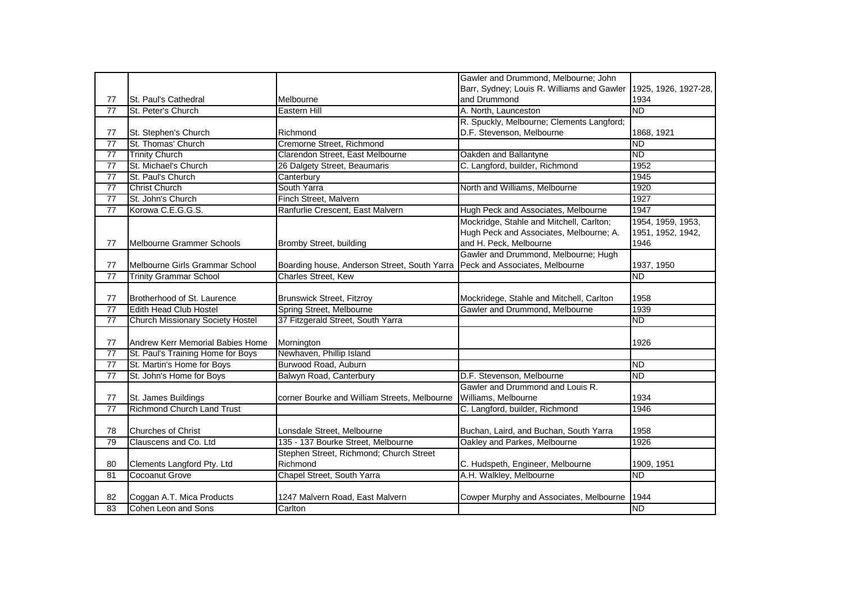|                 |                                         |                                              | Gawler and Drummond, Melbourne; John       |                      |
|-----------------|-----------------------------------------|----------------------------------------------|--------------------------------------------|----------------------|
|                 |                                         |                                              | Barr, Sydney; Louis R. Williams and Gawler | 1925, 1926, 1927-28, |
| 77              | St. Paul's Cathedral                    | Melbourne                                    | and Drummond                               | 1934                 |
| $\overline{77}$ | St. Peter's Church                      | Eastern Hill                                 | A. North, Launceston                       | <b>ND</b>            |
|                 |                                         |                                              | R. Spuckly, Melbourne; Clements Langford;  |                      |
| 77              | St. Stephen's Church                    | Richmond                                     | D.F. Stevenson, Melbourne                  | 1868, 1921           |
| 77              | St. Thomas' Church                      | Cremorne Street, Richmond                    |                                            | <b>ND</b>            |
| 77              | <b>Trinity Church</b>                   | Clarendon Street, East Melbourne             | Oakden and Ballantyne                      | <b>ND</b>            |
| $\overline{77}$ | St. Michael's Church                    | 26 Dalgety Street, Beaumaris                 | C. Langford, builder, Richmond             | 1952                 |
| $\overline{77}$ | St. Paul's Church                       | Canterbury                                   |                                            | 1945                 |
| 77              | <b>Christ Church</b>                    | South Yarra                                  | North and Williams, Melbourne              | 1920                 |
| $\overline{77}$ | St. John's Church                       | Finch Street, Malvern                        |                                            | 1927                 |
| $\overline{77}$ | Korowa C.E.G.G.S.                       | Ranfurlie Crescent, East Malvern             | Hugh Peck and Associates, Melbourne        | 1947                 |
|                 |                                         |                                              | Mockridge, Stahle and Mitchell, Carlton;   | 1954, 1959, 1953,    |
|                 |                                         |                                              | Hugh Peck and Associates, Melbourne; A.    | 1951, 1952, 1942,    |
| 77              | Melbourne Grammer Schools               | Bromby Street, building                      | and H. Peck, Melbourne                     | 1946                 |
|                 |                                         |                                              | Gawler and Drummond, Melbourne; Hugh       |                      |
| 77              | Melbourne Girls Grammar School          | Boarding house, Anderson Street, South Yarra | Peck and Associates, Melbourne             | 1937, 1950           |
| $\overline{77}$ | <b>Trinity Grammar School</b>           | Charles Street, Kew                          |                                            | <b>ND</b>            |
|                 |                                         |                                              |                                            |                      |
| 77              | Brotherhood of St. Laurence             | <b>Brunswick Street, Fitzroy</b>             | Mockridege, Stahle and Mitchell, Carlton   | 1958                 |
| $\overline{77}$ | <b>Edith Head Club Hostel</b>           | Spring Street, Melbourne                     | Gawler and Drummond, Melbourne             | 1939                 |
| $\overline{77}$ | <b>Church Missionary Society Hostel</b> | 37 Fitzgerald Street, South Yarra            |                                            | <b>ND</b>            |
|                 |                                         |                                              |                                            |                      |
| 77              | Andrew Kerr Memorial Babies Home        | Mornington                                   |                                            | 1926                 |
| $\overline{77}$ | St. Paul's Training Home for Boys       | Newhaven, Phillip Island                     |                                            |                      |
| 77              | St. Martin's Home for Boys              | Burwood Road, Auburn                         |                                            | <b>ND</b>            |
| $\overline{77}$ | St. John's Home for Boys                | Balwyn Road, Canterbury                      | D.F. Stevenson, Melbourne                  | <b>ND</b>            |
|                 |                                         |                                              | Gawler and Drummond and Louis R.           |                      |
| 77              | St. James Buildings                     | corner Bourke and William Streets, Melbourne | Williams, Melbourne                        | 1934                 |
| 77              | <b>Richmond Church Land Trust</b>       |                                              | C. Langford, builder, Richmond             | 1946                 |
|                 |                                         |                                              |                                            |                      |
| 78              | <b>Churches of Christ</b>               | Lonsdale Street, Melbourne                   | Buchan, Laird, and Buchan, South Yarra     | 1958                 |
| 79              | Clauscens and Co. Ltd                   | 135 - 137 Bourke Street, Melbourne           | Oakley and Parkes, Melbourne               | 1926                 |
|                 |                                         | Stephen Street, Richmond; Church Street      |                                            |                      |
| 80              | Clements Langford Pty. Ltd              | Richmond                                     | C. Hudspeth, Engineer, Melbourne           | 1909, 1951           |
| 81              | Cocoanut Grove                          | Chapel Street, South Yarra                   | A.H. Walkley, Melbourne                    | <b>ND</b>            |
|                 |                                         |                                              |                                            |                      |
| 82              | Coggan A.T. Mica Products               | 1247 Malvern Road, East Malvern              | Cowper Murphy and Associates, Melbourne    | 1944                 |
| 83              | Cohen Leon and Sons                     | Carlton                                      |                                            | <b>ND</b>            |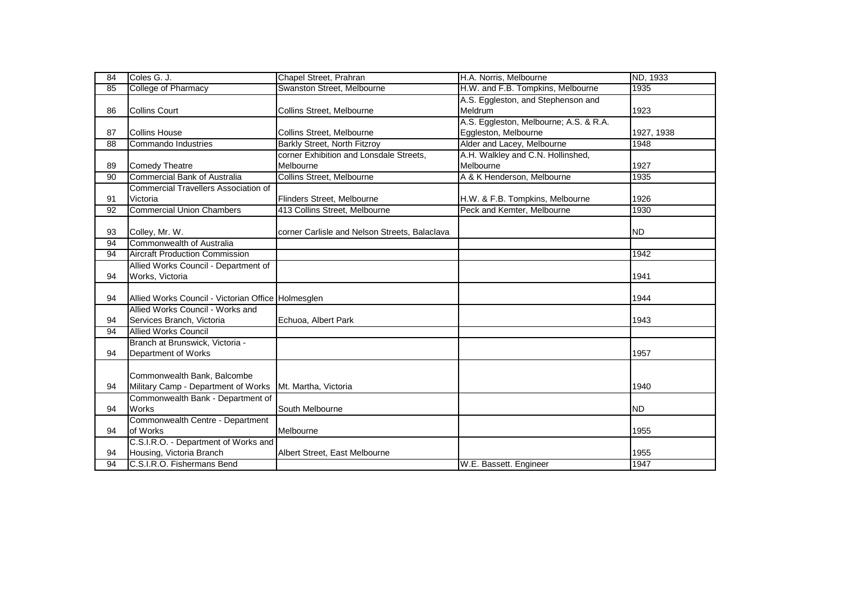| 84              | Coles G. J.                                        | Chapel Street, Prahran                        | H.A. Norris, Melbourne                 | ND, 1933   |
|-----------------|----------------------------------------------------|-----------------------------------------------|----------------------------------------|------------|
| 85              | <b>College of Pharmacy</b>                         | Swanston Street, Melbourne                    | H.W. and F.B. Tompkins, Melbourne      | 1935       |
|                 |                                                    |                                               | A.S. Eggleston, and Stephenson and     |            |
| 86              | <b>Collins Court</b>                               | Collins Street, Melbourne                     | Meldrum                                | 1923       |
|                 |                                                    |                                               | A.S. Eggleston, Melbourne; A.S. & R.A. |            |
| 87              | <b>Collins House</b>                               | Collins Street, Melbourne                     | Eggleston, Melbourne                   | 1927, 1938 |
| 88              | Commando Industries                                | <b>Barkly Street, North Fitzroy</b>           | Alder and Lacey, Melbourne             | 1948       |
|                 |                                                    | corner Exhibition and Lonsdale Streets,       | A.H. Walkley and C.N. Hollinshed,      |            |
| 89              | <b>Comedy Theatre</b>                              | Melbourne                                     | Melbourne                              | 1927       |
| 90              | <b>Commercial Bank of Australia</b>                | <b>Collins Street, Melbourne</b>              | A & K Henderson, Melbourne             | 1935       |
|                 | <b>Commercial Travellers Association of</b>        |                                               |                                        |            |
| 91              | Victoria                                           | Flinders Street, Melbourne                    | H.W. & F.B. Tompkins, Melbourne        | 1926       |
| 92              | <b>Commercial Union Chambers</b>                   | 413 Collins Street, Melbourne                 | Peck and Kemter, Melbourne             | 1930       |
|                 |                                                    |                                               |                                        |            |
| 93              | Colley, Mr. W.                                     | corner Carlisle and Nelson Streets, Balaclava |                                        | <b>ND</b>  |
| 94              | Commonwealth of Australia                          |                                               |                                        |            |
| 94              | <b>Aircraft Production Commission</b>              |                                               |                                        | 1942       |
|                 | Allied Works Council - Department of               |                                               |                                        |            |
| 94              | Works, Victoria                                    |                                               |                                        | 1941       |
|                 |                                                    |                                               |                                        |            |
| 94              | Allied Works Council - Victorian Office Holmesglen |                                               |                                        | 1944       |
|                 | Allied Works Council - Works and                   |                                               |                                        |            |
| 94              | Services Branch, Victoria                          | Echuoa, Albert Park                           |                                        | 1943       |
| 94              | <b>Allied Works Council</b>                        |                                               |                                        |            |
|                 | Branch at Brunswick, Victoria -                    |                                               |                                        |            |
| 94              | Department of Works                                |                                               |                                        | 1957       |
|                 |                                                    |                                               |                                        |            |
|                 | Commonwealth Bank, Balcombe                        |                                               |                                        |            |
| 94              | Military Camp - Department of Works                | Mt. Martha, Victoria                          |                                        | 1940       |
|                 | Commonwealth Bank - Department of                  |                                               |                                        |            |
| 94              | Works                                              | South Melbourne                               |                                        | ND.        |
|                 | Commonwealth Centre - Department                   |                                               |                                        |            |
| 94              | of Works                                           | Melbourne                                     |                                        | 1955       |
|                 | C.S.I.R.O. - Department of Works and               |                                               |                                        |            |
| 94              | Housing, Victoria Branch                           | Albert Street, East Melbourne                 |                                        | 1955       |
| $\overline{94}$ | C.S.I.R.O. Fishermans Bend                         |                                               | W.E. Bassett. Engineer                 | 1947       |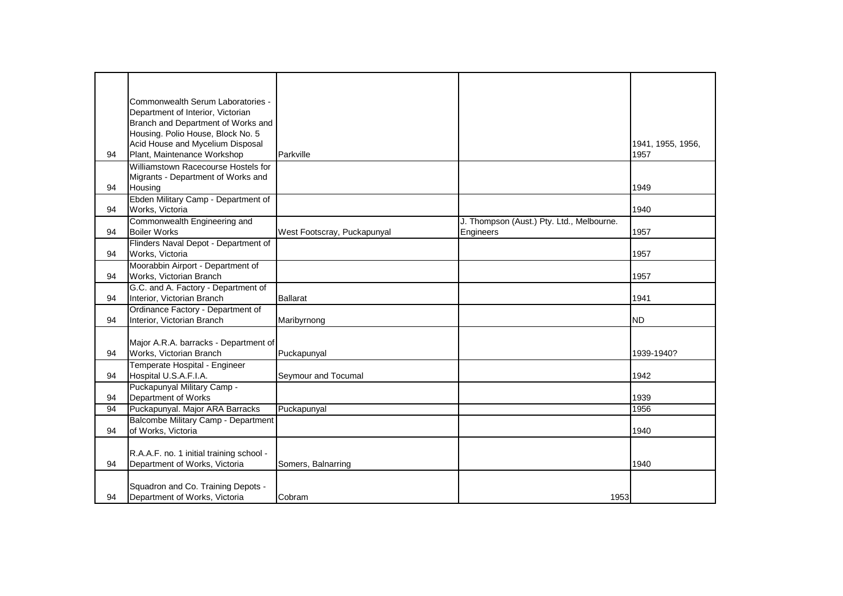|    | Commonwealth Serum Laboratories -                                       |                             |                                           |                   |
|----|-------------------------------------------------------------------------|-----------------------------|-------------------------------------------|-------------------|
|    | Department of Interior, Victorian<br>Branch and Department of Works and |                             |                                           |                   |
|    | Housing. Polio House, Block No. 5                                       |                             |                                           |                   |
|    | Acid House and Mycelium Disposal                                        |                             |                                           | 1941, 1955, 1956, |
| 94 | Plant, Maintenance Workshop                                             | Parkville                   |                                           | 1957              |
|    | Williamstown Racecourse Hostels for                                     |                             |                                           |                   |
|    | Migrants - Department of Works and                                      |                             |                                           |                   |
| 94 | Housing                                                                 |                             |                                           | 1949              |
|    | Ebden Military Camp - Department of                                     |                             |                                           |                   |
| 94 | Works, Victoria                                                         |                             |                                           | 1940              |
|    | Commonwealth Engineering and                                            |                             | J. Thompson (Aust.) Pty. Ltd., Melbourne. |                   |
| 94 | <b>Boiler Works</b>                                                     | West Footscray, Puckapunyal | Engineers                                 | 1957              |
|    | Flinders Naval Depot - Department of                                    |                             |                                           |                   |
| 94 | Works, Victoria                                                         |                             |                                           | 1957              |
|    | Moorabbin Airport - Department of                                       |                             |                                           |                   |
| 94 | Works, Victorian Branch                                                 |                             |                                           | 1957              |
|    | G.C. and A. Factory - Department of                                     |                             |                                           |                   |
| 94 | Interior, Victorian Branch                                              | <b>Ballarat</b>             |                                           | 1941              |
|    | Ordinance Factory - Department of                                       |                             |                                           |                   |
| 94 | Interior, Victorian Branch                                              | Maribyrnong                 |                                           | <b>ND</b>         |
|    |                                                                         |                             |                                           |                   |
|    | Major A.R.A. barracks - Department of                                   |                             |                                           |                   |
| 94 | Works, Victorian Branch                                                 | Puckapunyal                 |                                           | 1939-1940?        |
|    | Temperate Hospital - Engineer                                           |                             |                                           |                   |
| 94 | Hospital U.S.A.F.I.A.                                                   | Seymour and Tocumal         |                                           | 1942              |
|    | Puckapunyal Military Camp -                                             |                             |                                           |                   |
| 94 | Department of Works                                                     |                             |                                           | 1939              |
| 94 | Puckapunyal. Major ARA Barracks                                         | Puckapunyal                 |                                           | 1956              |
|    | Balcombe Military Camp - Department                                     |                             |                                           |                   |
| 94 | of Works, Victoria                                                      |                             |                                           | 1940              |
|    |                                                                         |                             |                                           |                   |
|    | R.A.A.F. no. 1 initial training school -                                |                             |                                           |                   |
| 94 | Department of Works, Victoria                                           | Somers, Balnarring          |                                           | 1940              |
|    |                                                                         |                             |                                           |                   |
|    |                                                                         |                             |                                           |                   |
| 94 |                                                                         |                             |                                           |                   |
|    | Squadron and Co. Training Depots -<br>Department of Works, Victoria     | Cobram                      | 1953                                      |                   |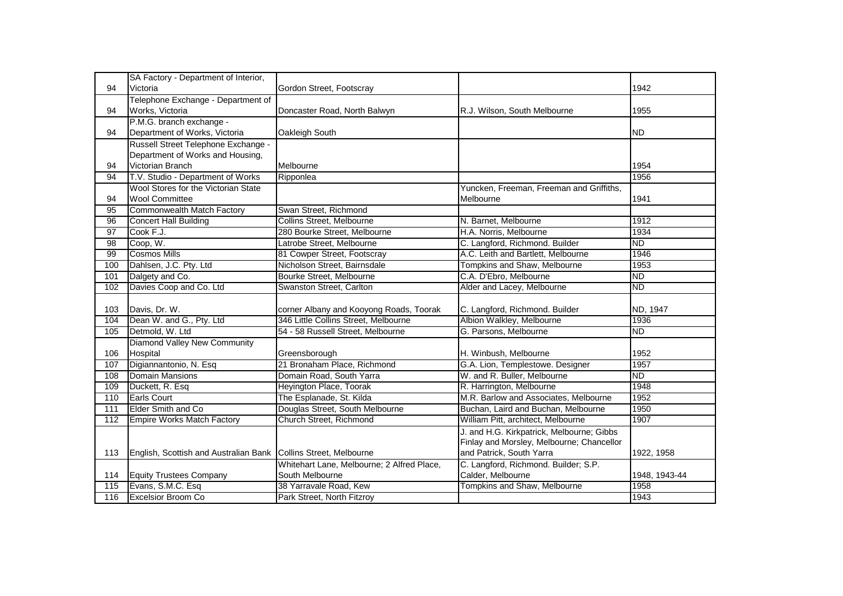|                  | SA Factory - Department of Interior,                            |                                            |                                           |               |
|------------------|-----------------------------------------------------------------|--------------------------------------------|-------------------------------------------|---------------|
| 94               | Victoria                                                        | Gordon Street, Footscray                   |                                           | 1942          |
|                  | Telephone Exchange - Department of                              |                                            |                                           |               |
| 94               | Works, Victoria                                                 | Doncaster Road, North Balwyn               | R.J. Wilson, South Melbourne              | 1955          |
|                  | P.M.G. branch exchange -                                        |                                            |                                           |               |
| 94               | Department of Works, Victoria                                   | Oakleigh South                             |                                           | <b>ND</b>     |
|                  | Russell Street Telephone Exchange -                             |                                            |                                           |               |
|                  | Department of Works and Housing,                                |                                            |                                           |               |
| 94               | <b>Victorian Branch</b>                                         | Melbourne                                  |                                           | 1954          |
| 94               | T.V. Studio - Department of Works                               | Ripponlea                                  |                                           | 1956          |
|                  | Wool Stores for the Victorian State                             |                                            | Yuncken, Freeman, Freeman and Griffiths,  |               |
| 94               | <b>Wool Committee</b>                                           |                                            | Melbourne                                 | 1941          |
| 95               | Commonwealth Match Factory                                      | Swan Street, Richmond                      |                                           |               |
| 96               | <b>Concert Hall Building</b>                                    | Collins Street, Melbourne                  | N. Barnet, Melbourne                      | 1912          |
| 97               | Cook F.J.                                                       | 280 Bourke Street, Melbourne               | H.A. Norris, Melbourne                    | 1934          |
| 98               | Coop, W.                                                        | Latrobe Street, Melbourne                  | C. Langford, Richmond. Builder            | ND            |
| 99               | <b>Cosmos Mills</b>                                             | 81 Cowper Street, Footscray                | A.C. Leith and Bartlett, Melbourne        | 1946          |
| 100              | Dahlsen, J.C. Pty. Ltd                                          | Nicholson Street, Bairnsdale               | Tompkins and Shaw, Melbourne              | 1953          |
| 101              | Dalgety and Co.                                                 | Bourke Street, Melbourne                   | C.A. D'Ebro, Melbourne                    | <b>ND</b>     |
| 102              | Davies Coop and Co. Ltd                                         | Swanston Street, Carlton                   | Alder and Lacey, Melbourne                | <b>ND</b>     |
|                  |                                                                 |                                            |                                           |               |
| 103              | Davis, Dr. W.                                                   | corner Albany and Kooyong Roads, Toorak    | C. Langford, Richmond. Builder            | ND, 1947      |
| 104              | Dean W. and G., Pty. Ltd                                        | 346 Little Collins Street, Melbourne       | Albion Walkley, Melbourne                 | 1936          |
| 105              | Detmold, W. Ltd                                                 | 54 - 58 Russell Street, Melbourne          | G. Parsons, Melbourne                     | ND            |
|                  | Diamond Valley New Community                                    |                                            |                                           |               |
| 106              | Hospital                                                        | Greensborough                              | H. Winbush, Melbourne                     | 1952          |
| 107              | Digiannantonio, N. Esq                                          | 21 Bronaham Place, Richmond                | G.A. Lion, Templestowe. Designer          | 1957          |
| 108              | <b>Domain Mansions</b>                                          | Domain Road, South Yarra                   | W. and R. Buller, Melbourne               | <b>ND</b>     |
| 109              | Duckett, R. Esq                                                 | Heyington Place, Toorak                    | R. Harrington, Melbourne                  | 1948          |
| $\overline{110}$ | <b>Earls Court</b>                                              | The Esplanade, St. Kilda                   | M.R. Barlow and Associates, Melbourne     | 1952          |
| 111              | <b>Elder Smith and Co</b>                                       | Douglas Street, South Melbourne            | Buchan, Laird and Buchan, Melbourne       | 1950          |
| 112              | <b>Empire Works Match Factory</b>                               | Church Street, Richmond                    | William Pitt, architect, Melbourne        | 1907          |
|                  |                                                                 |                                            | J. and H.G. Kirkpatrick, Melbourne; Gibbs |               |
|                  |                                                                 |                                            | Finlay and Morsley, Melbourne; Chancellor |               |
| 113              | English, Scottish and Australian Bank Collins Street, Melbourne |                                            | and Patrick, South Yarra                  | 1922, 1958    |
|                  |                                                                 | Whitehart Lane, Melbourne; 2 Alfred Place, | C. Langford, Richmond. Builder; S.P.      |               |
| 114              | <b>Equity Trustees Company</b>                                  | South Melbourne                            | Calder, Melbourne                         | 1948, 1943-44 |
| 115              | Evans, S.M.C. Esq                                               | 38 Yarravale Road, Kew                     | Tompkins and Shaw, Melbourne              | 1958          |
| 116              | <b>Excelsior Broom Co</b>                                       | Park Street, North Fitzroy                 |                                           | 1943          |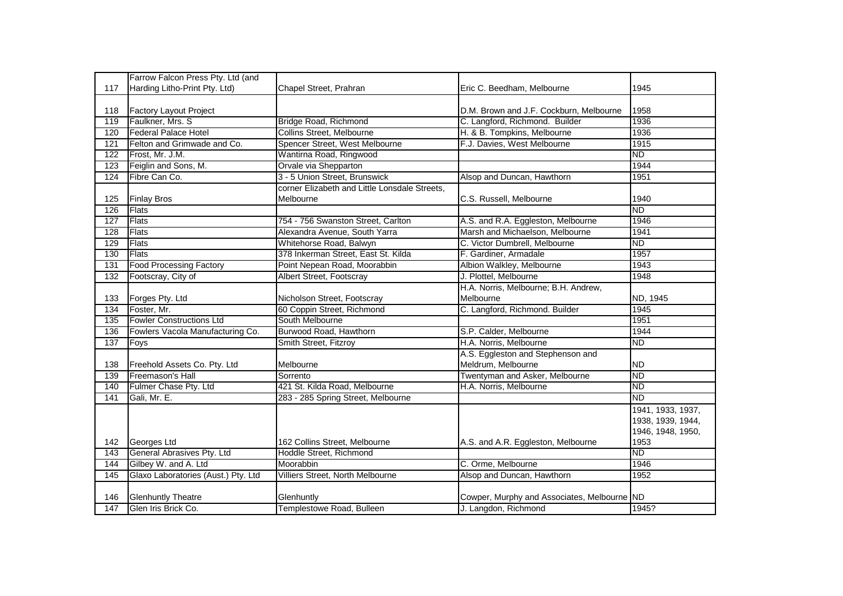|     | Farrow Falcon Press Pty. Ltd (and   |                                               |                                             |                   |
|-----|-------------------------------------|-----------------------------------------------|---------------------------------------------|-------------------|
| 117 | Harding Litho-Print Pty. Ltd)       | Chapel Street, Prahran                        | Eric C. Beedham, Melbourne                  | 1945              |
|     |                                     |                                               |                                             |                   |
| 118 | <b>Factory Layout Project</b>       |                                               | D.M. Brown and J.F. Cockburn, Melbourne     | 1958              |
| 119 | Faulkner, Mrs. S                    | Bridge Road, Richmond                         | C. Langford, Richmond. Builder              | 1936              |
| 120 | <b>Federal Palace Hotel</b>         | Collins Street, Melbourne                     | H. & B. Tompkins, Melbourne                 | 1936              |
| 121 | Felton and Grimwade and Co.         | Spencer Street, West Melbourne                | F.J. Davies, West Melbourne                 | 1915              |
| 122 | Frost, Mr. J.M.                     | Wantirna Road, Ringwood                       |                                             | $\overline{ND}$   |
| 123 | Feiglin and Sons, M.                | Orvale via Shepparton                         |                                             | 1944              |
| 124 | Fibre Can Co.                       | 3 - 5 Union Street, Brunswick                 | Alsop and Duncan, Hawthorn                  | 1951              |
|     |                                     | corner Elizabeth and Little Lonsdale Streets, |                                             |                   |
| 125 | <b>Finlay Bros</b>                  | Melbourne                                     | C.S. Russell, Melbourne                     | 1940              |
| 126 | Flats                               |                                               |                                             | $\overline{ND}$   |
| 127 | <b>Flats</b>                        | 754 - 756 Swanston Street, Carlton            | A.S. and R.A. Eggleston, Melbourne          | 1946              |
| 128 | <b>Flats</b>                        | Alexandra Avenue, South Yarra                 | Marsh and Michaelson, Melbourne             | 1941              |
| 129 | <b>Flats</b>                        | Whitehorse Road, Balwyn                       | C. Victor Dumbrell, Melbourne               | ND                |
| 130 | Flats                               | 378 Inkerman Street, East St. Kilda           | F. Gardiner, Armadale                       | 1957              |
| 131 | <b>Food Processing Factory</b>      | Point Nepean Road, Moorabbin                  | Albion Walkley, Melbourne                   | 1943              |
| 132 | Footscray, City of                  | Albert Street, Footscray                      | J. Plottel, Melbourne                       | 1948              |
|     |                                     |                                               | H.A. Norris, Melbourne; B.H. Andrew,        |                   |
| 133 | Forges Pty. Ltd                     | Nicholson Street, Footscray                   | Melbourne                                   | ND, 1945          |
| 134 | Foster, Mr.                         | 60 Coppin Street, Richmond                    | C. Langford, Richmond. Builder              | 1945              |
| 135 | <b>Fowler Constructions Ltd</b>     | South Melbourne                               |                                             | 1951              |
| 136 | Fowlers Vacola Manufacturing Co.    | Burwood Road, Hawthorn                        | S.P. Calder, Melbourne                      | 1944              |
| 137 | Foys                                | Smith Street, Fitzroy                         | H.A. Norris, Melbourne                      | $\overline{ND}$   |
|     |                                     |                                               | A.S. Eggleston and Stephenson and           |                   |
| 138 | Freehold Assets Co. Pty. Ltd        | Melbourne                                     | Meldrum, Melbourne                          | <b>ND</b>         |
| 139 | Freemason's Hall                    | Sorrento                                      | Twentyman and Asker, Melbourne              | <b>ND</b>         |
| 140 | Fulmer Chase Pty. Ltd               | 421 St. Kilda Road, Melbourne                 | H.A. Norris, Melbourne                      | $\overline{ND}$   |
| 141 | Gali, Mr. E.                        | 283 - 285 Spring Street, Melbourne            |                                             | <b>ND</b>         |
|     |                                     |                                               |                                             | 1941, 1933, 1937, |
|     |                                     |                                               |                                             | 1938, 1939, 1944, |
|     |                                     |                                               |                                             | 1946, 1948, 1950, |
| 142 | Georges Ltd                         | 162 Collins Street, Melbourne                 | A.S. and A.R. Eggleston, Melbourne          | 1953              |
| 143 | General Abrasives Pty. Ltd          | Hoddle Street, Richmond                       |                                             | <b>ND</b>         |
| 144 | Gilbey W. and A. Ltd                | Moorabbin                                     | C. Orme, Melbourne                          | 1946              |
| 145 | Glaxo Laboratories (Aust.) Pty. Ltd | Villiers Street, North Melbourne              | Alsop and Duncan, Hawthorn                  | 1952              |
|     |                                     |                                               |                                             |                   |
| 146 | <b>Glenhuntly Theatre</b>           | Glenhuntly                                    | Cowper, Murphy and Associates, Melbourne ND |                   |
| 147 | Glen Iris Brick Co.                 | Templestowe Road, Bulleen                     | J. Langdon, Richmond                        | 1945?             |
|     |                                     |                                               |                                             |                   |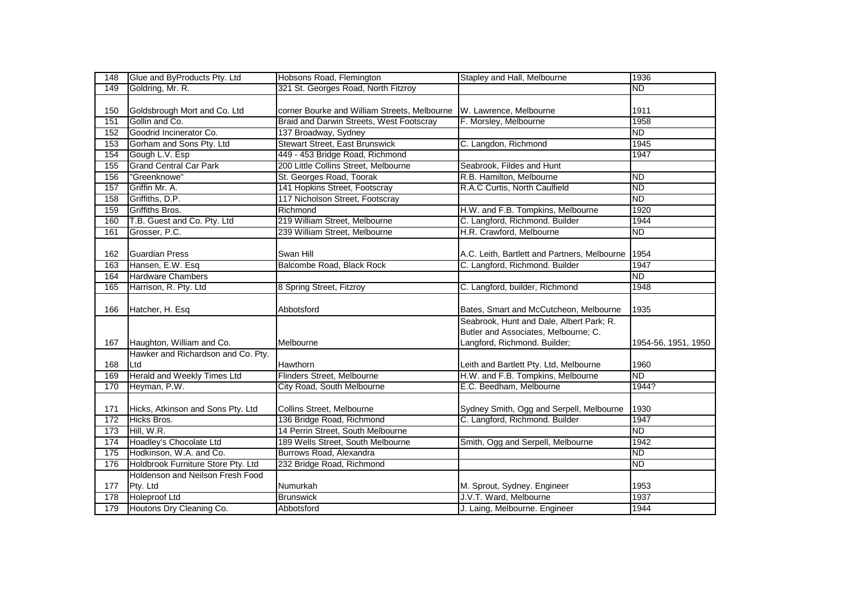| 148 | Glue and ByProducts Pty. Ltd       | Hobsons Road, Flemington                     | Stapley and Hall, Melbourne                                                                                      | 1936                |
|-----|------------------------------------|----------------------------------------------|------------------------------------------------------------------------------------------------------------------|---------------------|
| 149 | Goldring, Mr. R.                   | 321 St. Georges Road, North Fitzroy          |                                                                                                                  | $\overline{ND}$     |
|     |                                    |                                              |                                                                                                                  |                     |
| 150 | Goldsbrough Mort and Co. Ltd       | corner Bourke and William Streets, Melbourne | W. Lawrence, Melbourne                                                                                           | 1911                |
| 151 | Gollin and Co.                     | Braid and Darwin Streets, West Footscray     | F. Morsley, Melbourne                                                                                            | 1958                |
| 152 | Goodrid Incinerator Co.            | 137 Broadway, Sydney                         |                                                                                                                  | <b>ND</b>           |
| 153 | Gorham and Sons Pty. Ltd           | <b>Stewart Street, East Brunswick</b>        | C. Langdon, Richmond                                                                                             | 1945                |
| 154 | Gough L.V. Esp                     | 449 - 453 Bridge Road, Richmond              |                                                                                                                  | 1947                |
| 155 | <b>Grand Central Car Park</b>      | 200 Little Collins Street, Melbourne         | Seabrook, Fildes and Hunt                                                                                        |                     |
| 156 | "Greenknowe"                       | St. Georges Road, Toorak                     | R.B. Hamilton, Melbourne                                                                                         | <b>ND</b>           |
| 157 | Griffin Mr. A.                     | 141 Hopkins Street, Footscray                | R.A.C Curtis, North Caulfield                                                                                    | <b>ND</b>           |
| 158 | Griffiths, D.P.                    | 117 Nicholson Street, Footscray              |                                                                                                                  | <b>ND</b>           |
| 159 | Griffiths Bros.                    | Richmond                                     | H.W. and F.B. Tompkins, Melbourne                                                                                | 1920                |
| 160 | T.B. Guest and Co. Pty. Ltd        | 219 William Street, Melbourne                | C. Langford, Richmond. Builder                                                                                   | 1944                |
| 161 | Grosser, P.C.                      | 239 William Street, Melbourne                | H.R. Crawford, Melbourne                                                                                         | <b>ND</b>           |
|     |                                    |                                              |                                                                                                                  |                     |
| 162 | <b>Guardian Press</b>              | Swan Hill                                    | A.C. Leith, Bartlett and Partners, Melbourne                                                                     | 1954                |
| 163 | Hansen, E.W. Esq                   | Balcombe Road, Black Rock                    | C. Langford, Richmond. Builder                                                                                   | 1947                |
| 164 | <b>Hardware Chambers</b>           |                                              |                                                                                                                  | <b>ND</b>           |
| 165 | Harrison, R. Pty. Ltd              | 8 Spring Street, Fitzroy                     | C. Langford, builder, Richmond                                                                                   | 1948                |
| 166 | Hatcher, H. Esq                    | Abbotsford                                   | Bates, Smart and McCutcheon, Melbourne                                                                           | 1935                |
| 167 | Haughton, William and Co.          | Melbourne                                    | Seabrook, Hunt and Dale, Albert Park; R.<br>Butler and Associates, Melbourne; C.<br>Langford, Richmond. Builder; | 1954-56, 1951, 1950 |
|     | Hawker and Richardson and Co. Pty. |                                              |                                                                                                                  |                     |
| 168 | Ltd                                | Hawthorn                                     | Leith and Bartlett Pty. Ltd, Melbourne                                                                           | 1960                |
| 169 | Herald and Weekly Times Ltd        | Flinders Street, Melbourne                   | H.W. and F.B. Tompkins, Melbourne                                                                                | <b>ND</b>           |
| 170 | Heyman, P.W.                       | City Road, South Melbourne                   | E.C. Beedham, Melbourne                                                                                          | 1944?               |
| 171 | Hicks, Atkinson and Sons Pty. Ltd  | Collins Street, Melbourne                    | Sydney Smith, Ogg and Serpell, Melbourne                                                                         | 1930                |
| 172 | Hicks Bros.                        | 136 Bridge Road, Richmond                    | C. Langford, Richmond. Builder                                                                                   | 1947                |
| 173 | Hill, W.R.                         | 14 Perrin Street, South Melbourne            |                                                                                                                  | <b>ND</b>           |
| 174 | Hoadley's Chocolate Ltd            | 189 Wells Street, South Melbourne            | Smith, Ogg and Serpell, Melbourne                                                                                | 1942                |
| 175 | Hodkinson, W.A. and Co.            | Burrows Road, Alexandra                      |                                                                                                                  | <b>ND</b>           |
| 176 | Holdbrook Furniture Store Pty. Ltd | 232 Bridge Road, Richmond                    |                                                                                                                  | <b>ND</b>           |
|     | Holdenson and Neilson Fresh Food   |                                              |                                                                                                                  |                     |
| 177 | Pty. Ltd                           | Numurkah                                     | M. Sprout, Sydney. Engineer                                                                                      | 1953                |
| 178 | <b>Holeproof Ltd</b>               | <b>Brunswick</b>                             | J.V.T. Ward, Melbourne                                                                                           | 1937                |
| 179 | Houtons Dry Cleaning Co.           | Abbotsford                                   | J. Laing, Melbourne. Engineer                                                                                    | 1944                |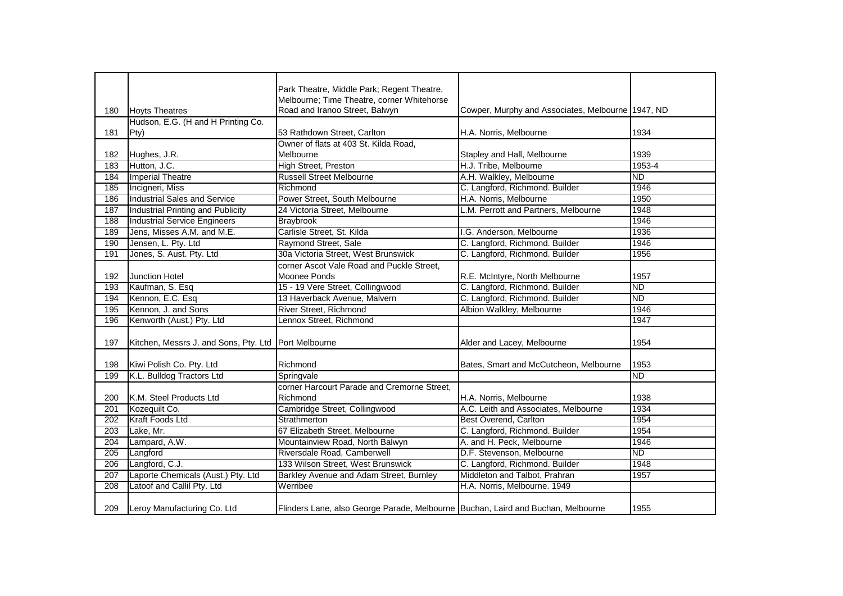|     |                                                      | Park Theatre, Middle Park; Regent Theatre,                                       |                                                   |                 |
|-----|------------------------------------------------------|----------------------------------------------------------------------------------|---------------------------------------------------|-----------------|
|     |                                                      | Melbourne; Time Theatre, corner Whitehorse                                       |                                                   |                 |
| 180 | <b>Hoyts Theatres</b>                                | Road and Iranoo Street, Balwyn                                                   | Cowper, Murphy and Associates, Melbourne 1947, ND |                 |
|     | Hudson, E.G. (H and H Printing Co.                   |                                                                                  |                                                   |                 |
| 181 | Pty)                                                 | 53 Rathdown Street, Carlton                                                      | H.A. Norris, Melbourne                            | 1934            |
|     |                                                      | Owner of flats at 403 St. Kilda Road,                                            |                                                   |                 |
| 182 | Hughes, J.R.                                         | Melbourne                                                                        | Stapley and Hall, Melbourne                       | 1939            |
| 183 | Hutton, J.C.                                         | <b>High Street, Preston</b>                                                      | H.J. Tribe, Melbourne                             | 1953-4          |
| 184 | <b>Imperial Theatre</b>                              | <b>Russell Street Melbourne</b>                                                  | A.H. Walkley, Melbourne                           | $\overline{ND}$ |
| 185 | Incigneri, Miss                                      | Richmond                                                                         | C. Langford, Richmond. Builder                    | 1946            |
| 186 | <b>Industrial Sales and Service</b>                  | Power Street, South Melbourne                                                    | H.A. Norris, Melbourne                            | 1950            |
| 187 | <b>Industrial Printing and Publicity</b>             | 24 Victoria Street, Melbourne                                                    | L.M. Perrott and Partners, Melbourne              | 1948            |
| 188 | <b>Industrial Service Engineers</b>                  | <b>Braybrook</b>                                                                 |                                                   | 1946            |
| 189 | Jens, Misses A.M. and M.E.                           | Carlisle Street, St. Kilda                                                       | I.G. Anderson, Melbourne                          | 1936            |
| 190 | Jensen, L. Pty. Ltd                                  | Raymond Street, Sale                                                             | C. Langford, Richmond. Builder                    | 1946            |
| 191 | Jones, S. Aust. Pty. Ltd                             | 30a Victoria Street, West Brunswick                                              | C. Langford, Richmond. Builder                    | 1956            |
|     |                                                      | corner Ascot Vale Road and Puckle Street,                                        |                                                   |                 |
| 192 | <b>Junction Hotel</b>                                | Moonee Ponds                                                                     | R.E. McIntyre, North Melbourne                    | 1957            |
| 193 | Kaufman, S. Esq                                      | 15 - 19 Vere Street, Collingwood                                                 | C. Langford, Richmond. Builder                    | <b>ND</b>       |
| 194 | Kennon, E.C. Esq                                     | 13 Haverback Avenue, Malvern                                                     | C. Langford, Richmond. Builder                    | <b>ND</b>       |
| 195 | Kennon, J. and Sons                                  | River Street, Richmond                                                           | Albion Walkley, Melbourne                         | 1946            |
| 196 | Kenworth (Aust.) Pty. Ltd                            | Lennox Street, Richmond                                                          |                                                   | 1947            |
|     |                                                      |                                                                                  |                                                   |                 |
| 197 | Kitchen, Messrs J. and Sons, Pty. Ltd Port Melbourne |                                                                                  | Alder and Lacey, Melbourne                        | 1954            |
|     |                                                      |                                                                                  |                                                   |                 |
| 198 | Kiwi Polish Co. Pty. Ltd                             | Richmond                                                                         | Bates, Smart and McCutcheon, Melbourne            | 1953            |
| 199 | K.L. Bulldog Tractors Ltd                            | Springvale                                                                       |                                                   | ND              |
|     |                                                      | corner Harcourt Parade and Cremorne Street,                                      |                                                   |                 |
| 200 | K.M. Steel Products Ltd                              | Richmond                                                                         | H.A. Norris, Melbourne                            | 1938            |
| 201 | Kozequilt Co.                                        | Cambridge Street, Collingwood                                                    | A.C. Leith and Associates, Melbourne              | 1934            |
| 202 | Kraft Foods Ltd                                      | Strathmerton                                                                     | <b>Best Overend, Carlton</b>                      | 1954            |
| 203 | Lake, Mr.                                            | 67 Elizabeth Street, Melbourne                                                   | C. Langford, Richmond. Builder                    | 1954            |
| 204 | Lampard, A.W.                                        | Mountainview Road, North Balwyn                                                  | A. and H. Peck, Melbourne                         | 1946            |
| 205 | Langford                                             | Riversdale Road, Camberwell                                                      | D.F. Stevenson, Melbourne                         | <b>ND</b>       |
| 206 | Langford, C.J.                                       | 133 Wilson Street, West Brunswick                                                | C. Langford, Richmond. Builder                    | 1948            |
| 207 | Laporte Chemicals (Aust.) Pty. Ltd                   | Barkley Avenue and Adam Street, Burnley                                          | Middleton and Talbot, Prahran                     | 1957            |
| 208 | Latoof and Callil Pty. Ltd                           | Werribee                                                                         | H.A. Norris, Melbourne. 1949                      |                 |
|     |                                                      |                                                                                  |                                                   |                 |
| 209 | Leroy Manufacturing Co. Ltd                          | Flinders Lane, also George Parade, Melbourne Buchan, Laird and Buchan, Melbourne |                                                   | 1955            |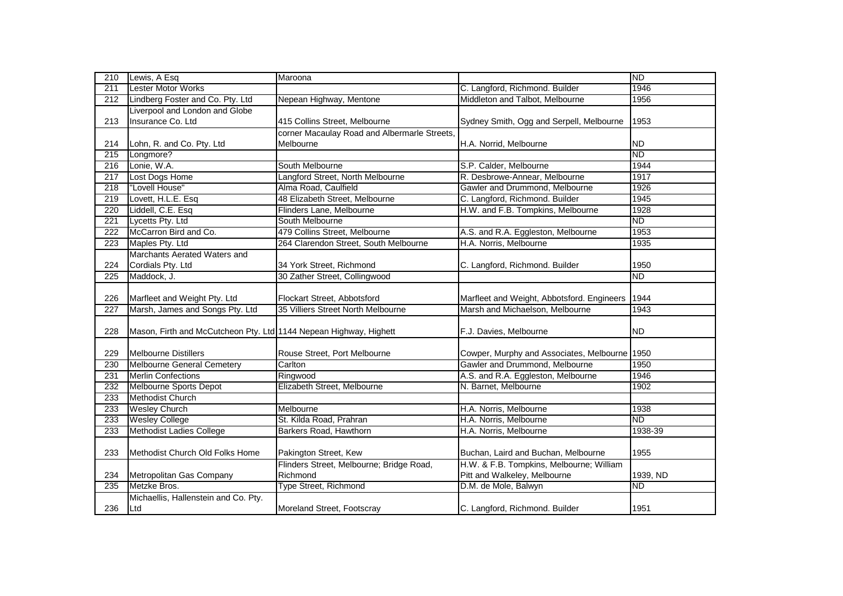| 210              | Lewis, A Esq                                                      | Maroona                                      |                                               | <b>ND</b> |
|------------------|-------------------------------------------------------------------|----------------------------------------------|-----------------------------------------------|-----------|
| 211              | Lester Motor Works                                                |                                              | C. Langford, Richmond. Builder                | 1946      |
| 212              | Lindberg Foster and Co. Pty. Ltd                                  | Nepean Highway, Mentone                      | Middleton and Talbot, Melbourne               | 1956      |
|                  | Liverpool and London and Globe                                    |                                              |                                               |           |
| 213              | Insurance Co. Ltd                                                 | 415 Collins Street, Melbourne                | Sydney Smith, Ogg and Serpell, Melbourne      | 1953      |
|                  |                                                                   | corner Macaulay Road and Albermarle Streets, |                                               |           |
| 214              | Lohn, R. and Co. Pty. Ltd                                         | Melbourne                                    | H.A. Norrid, Melbourne                        | <b>ND</b> |
| 215              | Longmore?                                                         |                                              |                                               | <b>ND</b> |
| 216              | Lonie, W.A.                                                       | South Melbourne                              | S.P. Calder, Melbourne                        | 1944      |
| 217              | Lost Dogs Home                                                    | Langford Street, North Melbourne             | R. Desbrowe-Annear, Melbourne                 | 1917      |
| 218              | "Lovell House"                                                    | Alma Road, Caulfield                         | Gawler and Drummond, Melbourne                | 1926      |
| 219              | Lovett, H.L.E. Esq                                                | 48 Elizabeth Street, Melbourne               | C. Langford, Richmond. Builder                | 1945      |
| 220              | Liddell, C.E. Esq                                                 | Flinders Lane, Melbourne                     | H.W. and F.B. Tompkins, Melbourne             | 1928      |
| 221              | Lycetts Pty. Ltd                                                  | South Melbourne                              |                                               | <b>ND</b> |
| $\overline{222}$ | McCarron Bird and Co.                                             | 479 Collins Street, Melbourne                | A.S. and R.A. Eggleston, Melbourne            | 1953      |
| 223              | Maples Pty. Ltd                                                   | 264 Clarendon Street, South Melbourne        | H.A. Norris, Melbourne                        | 1935      |
|                  | Marchants Aerated Waters and                                      |                                              |                                               |           |
| 224              | Cordials Pty. Ltd                                                 | 34 York Street, Richmond                     | C. Langford, Richmond. Builder                | 1950      |
| 225              | Maddock, J.                                                       | 30 Zather Street, Collingwood                |                                               | <b>ND</b> |
|                  |                                                                   |                                              |                                               |           |
| 226              | Marfleet and Weight Pty. Ltd                                      | Flockart Street, Abbotsford                  | Marfleet and Weight, Abbotsford. Engineers    | 1944      |
| 227              | Marsh, James and Songs Pty. Ltd                                   | 35 Villiers Street North Melbourne           | Marsh and Michaelson, Melbourne               | 1943      |
|                  |                                                                   |                                              |                                               |           |
| 228              | Mason, Firth and McCutcheon Pty. Ltd 1144 Nepean Highway, Highett |                                              | F.J. Davies, Melbourne                        | <b>ND</b> |
|                  |                                                                   |                                              |                                               |           |
| 229              | <b>Melbourne Distillers</b>                                       | Rouse Street, Port Melbourne                 | Cowper, Murphy and Associates, Melbourne 1950 |           |
| 230              | Melbourne General Cemetery                                        | Carlton                                      | Gawler and Drummond, Melbourne                | 1950      |
| 231              | <b>Merlin Confections</b>                                         | Ringwood                                     | A.S. and R.A. Eggleston, Melbourne            | 1946      |
| 232              | Melbourne Sports Depot                                            | Elizabeth Street, Melbourne                  | N. Barnet, Melbourne                          | 1902      |
| 233              | Methodist Church                                                  |                                              |                                               |           |
| 233              | <b>Wesley Church</b>                                              | Melbourne                                    | H.A. Norris, Melbourne                        | 1938      |
| 233              | <b>Wesley College</b>                                             | St. Kilda Road, Prahran                      | H.A. Norris, Melbourne                        | <b>ND</b> |
| 233              | <b>Methodist Ladies College</b>                                   | Barkers Road, Hawthorn                       | H.A. Norris, Melbourne                        | 1938-39   |
|                  |                                                                   |                                              |                                               |           |
| 233              | Methodist Church Old Folks Home                                   | Pakington Street, Kew                        | Buchan, Laird and Buchan, Melbourne           | 1955      |
|                  |                                                                   | Flinders Street, Melbourne; Bridge Road,     | H.W. & F.B. Tompkins, Melbourne; William      |           |
| 234              | Metropolitan Gas Company                                          | Richmond                                     | Pitt and Walkeley, Melbourne                  | 1939, ND  |
| 235              | Metzke Bros.                                                      | Type Street, Richmond                        | D.M. de Mole, Balwyn                          | ND.       |
|                  | Michaellis, Hallenstein and Co. Pty.                              |                                              |                                               |           |
| 236              | Ltd                                                               | Moreland Street, Footscray                   | C. Langford, Richmond. Builder                | 1951      |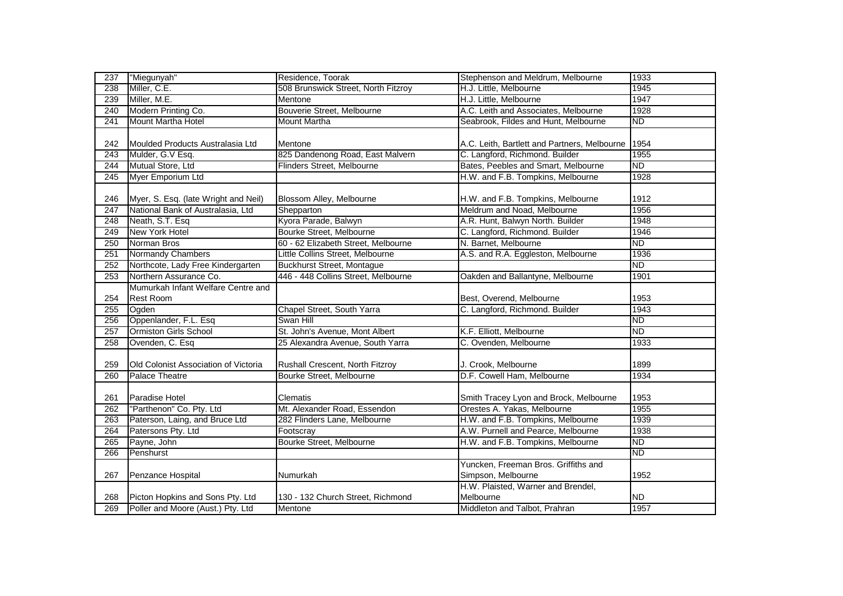| 237              | "Miegunyah"                          | Residence, Toorak                   | Stephenson and Meldrum, Melbourne                          | 1933            |
|------------------|--------------------------------------|-------------------------------------|------------------------------------------------------------|-----------------|
| 238              | Miller, C.E.                         | 508 Brunswick Street, North Fitzroy | H.J. Little, Melbourne                                     | 1945            |
| 239              | Miller, M.E.                         | Mentone                             | H.J. Little, Melbourne                                     | 1947            |
| 240              | Modern Printing Co.                  | Bouverie Street, Melbourne          | A.C. Leith and Associates, Melbourne                       | 1928            |
| 241              | Mount Martha Hotel                   | <b>Mount Martha</b>                 | Seabrook, Fildes and Hunt, Melbourne                       | <b>ND</b>       |
|                  |                                      |                                     |                                                            |                 |
| 242              | Moulded Products Australasia Ltd     | Mentone                             | A.C. Leith, Bartlett and Partners, Melbourne               | 1954            |
| 243              | Mulder, G.V Esq.                     | 825 Dandenong Road, East Malvern    | C. Langford, Richmond. Builder                             | 1955            |
| 244              | Mutual Store, Ltd                    | Flinders Street, Melbourne          | Bates, Peebles and Smart, Melbourne                        | $\overline{ND}$ |
| $\overline{245}$ | Myer Emporium Ltd                    |                                     | H.W. and F.B. Tompkins, Melbourne                          | 1928            |
| 246              | Myer, S. Esq. (late Wright and Neil) | Blossom Alley, Melbourne            | H.W. and F.B. Tompkins, Melbourne                          | 1912            |
| 247              | National Bank of Australasia, Ltd    | Shepparton                          | Meldrum and Noad, Melbourne                                | 1956            |
| 248              | Neath, S.T. Esq                      | Kyora Parade, Balwyn                | A.R. Hunt, Balwyn North. Builder                           | 1948            |
| 249              | New York Hotel                       | Bourke Street, Melbourne            | C. Langford, Richmond. Builder                             | 1946            |
| 250              | Norman Bros                          | 60 - 62 Elizabeth Street, Melbourne | N. Barnet, Melbourne                                       | <b>ND</b>       |
| 251              | <b>Normandy Chambers</b>             | Little Collins Street, Melbourne    | A.S. and R.A. Eggleston, Melbourne                         | 1936            |
| 252              | Northcote, Lady Free Kindergarten    | Buckhurst Street, Montague          |                                                            | <b>ND</b>       |
| 253              | Northern Assurance Co.               | 446 - 448 Collins Street, Melbourne | Oakden and Ballantyne, Melbourne                           | 1901            |
|                  | Mumurkah Infant Welfare Centre and   |                                     |                                                            |                 |
| 254              | <b>Rest Room</b>                     |                                     | Best, Overend, Melbourne                                   | 1953            |
| 255              | Ogden                                | Chapel Street, South Yarra          | C. Langford, Richmond. Builder                             | 1943            |
| 256              | Oppenlander, F.L. Esq                | Swan Hill                           |                                                            | $\overline{ND}$ |
| 257              | <b>Ormiston Girls School</b>         | St. John's Avenue, Mont Albert      | K.F. Elliott, Melbourne                                    | ND              |
| 258              | Ovenden, C. Esq                      | 25 Alexandra Avenue, South Yarra    | C. Ovenden, Melbourne                                      | 1933            |
| 259              | Old Colonist Association of Victoria | Rushall Crescent, North Fitzroy     | J. Crook, Melbourne                                        | 1899            |
| 260              | Palace Theatre                       | Bourke Street, Melbourne            | D.F. Cowell Ham, Melbourne                                 | 1934            |
| 261              | Paradise Hotel                       | Clematis                            | Smith Tracey Lyon and Brock, Melbourne                     | 1953            |
| 262              | "Parthenon" Co. Pty. Ltd             | Mt. Alexander Road, Essendon        | Orestes A. Yakas, Melbourne                                | 1955            |
| 263              | Paterson, Laing, and Bruce Ltd       | 282 Flinders Lane, Melbourne        | H.W. and F.B. Tompkins, Melbourne                          | 1939            |
| 264              | Patersons Pty. Ltd                   | Footscray                           | A.W. Purnell and Pearce, Melbourne                         | 1938            |
| 265              | Payne, John                          | Bourke Street, Melbourne            | H.W. and F.B. Tompkins, Melbourne                          | $\overline{ND}$ |
| 266              | Penshurst                            |                                     |                                                            | ND              |
| 267              | Penzance Hospital                    | Numurkah                            | Yuncken, Freeman Bros. Griffiths and<br>Simpson, Melbourne | 1952            |
| 268              | Picton Hopkins and Sons Pty. Ltd     | 130 - 132 Church Street, Richmond   | H.W. Plaisted, Warner and Brendel,<br>Melbourne            | <b>ND</b>       |
| 269              | Poller and Moore (Aust.) Pty. Ltd    | Mentone                             | Middleton and Talbot, Prahran                              | 1957            |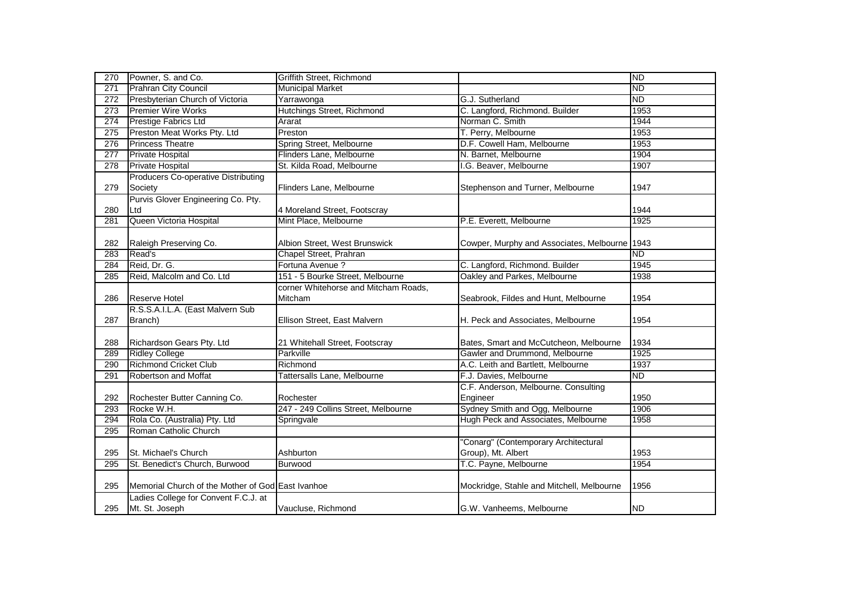| 270 | Powner, S. and Co.                                | Griffith Street, Richmond            |                                               | <b>ND</b> |
|-----|---------------------------------------------------|--------------------------------------|-----------------------------------------------|-----------|
| 271 | <b>Prahran City Council</b>                       | <b>Municipal Market</b>              |                                               | <b>ND</b> |
| 272 | Presbyterian Church of Victoria                   | Yarrawonga                           | G.J. Sutherland                               | ND        |
| 273 | <b>Premier Wire Works</b>                         | Hutchings Street, Richmond           | C. Langford, Richmond. Builder                | 1953      |
| 274 | Prestige Fabrics Ltd                              | Ararat                               | Norman C. Smith                               | 1944      |
| 275 | Preston Meat Works Pty. Ltd                       | Preston                              | T. Perry, Melbourne                           | 1953      |
| 276 | <b>Princess Theatre</b>                           | Spring Street, Melbourne             | D.F. Cowell Ham, Melbourne                    | 1953      |
| 277 | Private Hospital                                  | Flinders Lane, Melbourne             | N. Barnet, Melbourne                          | 1904      |
| 278 | Private Hospital                                  | St. Kilda Road, Melbourne            | I.G. Beaver, Melbourne                        | 1907      |
|     | <b>Producers Co-operative Distributing</b>        |                                      |                                               |           |
| 279 | Society                                           | Flinders Lane, Melbourne             | Stephenson and Turner, Melbourne              | 1947      |
|     | Purvis Glover Engineering Co. Pty.                |                                      |                                               |           |
| 280 | Ltd                                               | 4 Moreland Street, Footscray         |                                               | 1944      |
| 281 | Queen Victoria Hospital                           | Mint Place, Melbourne                | P.E. Everett, Melbourne                       | 1925      |
|     |                                                   |                                      |                                               |           |
| 282 | Raleigh Preserving Co.                            | Albion Street, West Brunswick        | Cowper, Murphy and Associates, Melbourne 1943 |           |
| 283 | Read's                                            | Chapel Street, Prahran               |                                               | <b>ND</b> |
| 284 | Reid, Dr. G.                                      | Fortuna Avenue ?                     | C. Langford, Richmond. Builder                | 1945      |
| 285 | Reid, Malcolm and Co. Ltd                         | 151 - 5 Bourke Street, Melbourne     | Oakley and Parkes, Melbourne                  | 1938      |
|     |                                                   | corner Whitehorse and Mitcham Roads, |                                               |           |
| 286 | <b>Reserve Hotel</b>                              | Mitcham                              | Seabrook, Fildes and Hunt, Melbourne          | 1954      |
|     | R.S.S.A.I.L.A. (East Malvern Sub                  |                                      |                                               |           |
| 287 | Branch)                                           | Ellison Street, East Malvern         | H. Peck and Associates, Melbourne             | 1954      |
|     |                                                   |                                      |                                               |           |
| 288 | Richardson Gears Pty. Ltd                         | 21 Whitehall Street, Footscray       | Bates, Smart and McCutcheon, Melbourne        | 1934      |
| 289 | <b>Ridley College</b>                             | Parkville                            | Gawler and Drummond, Melbourne                | 1925      |
| 290 | <b>Richmond Cricket Club</b>                      | Richmond                             | A.C. Leith and Bartlett, Melbourne            | 1937      |
| 291 | Robertson and Moffat                              | Tattersalls Lane, Melbourne          | F.J. Davies, Melbourne                        | ND.       |
|     |                                                   |                                      | C.F. Anderson, Melbourne. Consulting          |           |
| 292 | Rochester Butter Canning Co.                      | Rochester                            | Engineer                                      | 1950      |
| 293 | Rocke W.H.                                        | 247 - 249 Collins Street, Melbourne  | Sydney Smith and Ogg, Melbourne               | 1906      |
| 294 | Rola Co. (Australia) Pty. Ltd                     | Springvale                           | Hugh Peck and Associates, Melbourne           | 1958      |
| 295 | Roman Catholic Church                             |                                      |                                               |           |
|     |                                                   |                                      | "Conarg" (Contemporary Architectural          |           |
| 295 | St. Michael's Church                              | Ashburton                            | Group), Mt. Albert                            | 1953      |
| 295 | St. Benedict's Church, Burwood                    | <b>Burwood</b>                       | T.C. Payne, Melbourne                         | 1954      |
|     |                                                   |                                      |                                               |           |
| 295 | Memorial Church of the Mother of God East Ivanhoe |                                      | Mockridge, Stahle and Mitchell, Melbourne     | 1956      |
|     | Ladies College for Convent F.C.J. at              |                                      |                                               |           |
| 295 | Mt. St. Joseph                                    | Vaucluse, Richmond                   | G.W. Vanheems, Melbourne                      | <b>ND</b> |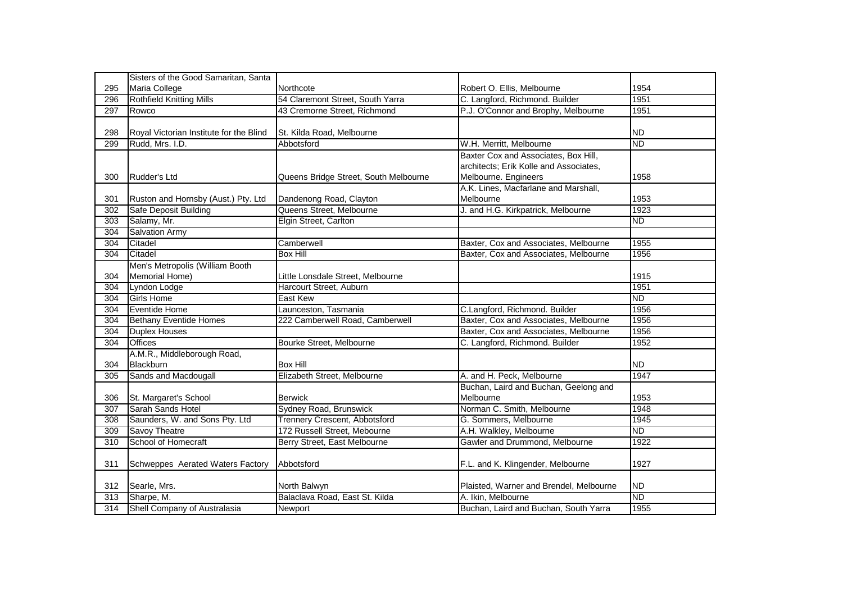|                  | Sisters of the Good Samaritan, Santa    |                                       |                                         |           |
|------------------|-----------------------------------------|---------------------------------------|-----------------------------------------|-----------|
| 295              | Maria College                           | Northcote                             | Robert O. Ellis, Melbourne              | 1954      |
| 296              | <b>Rothfield Knitting Mills</b>         | 54 Claremont Street, South Yarra      | C. Langford, Richmond. Builder          | 1951      |
| 297              | Rowco                                   | 43 Cremorne Street, Richmond          | P.J. O'Connor and Brophy, Melbourne     | 1951      |
|                  |                                         |                                       |                                         |           |
| 298              | Royal Victorian Institute for the Blind | St. Kilda Road, Melbourne             |                                         | <b>ND</b> |
| 299              | Rudd, Mrs. I.D.                         | Abbotsford                            | W.H. Merritt, Melbourne                 | ND        |
|                  |                                         |                                       | Baxter Cox and Associates, Box Hill,    |           |
|                  |                                         |                                       | architects; Erik Kolle and Associates,  |           |
| 300              | Rudder's Ltd                            | Queens Bridge Street, South Melbourne | Melbourne. Engineers                    | 1958      |
|                  |                                         |                                       | A.K. Lines, Macfarlane and Marshall,    |           |
| 301              | Ruston and Hornsby (Aust.) Pty. Ltd     | Dandenong Road, Clayton               | Melbourne                               | 1953      |
| 302              | Safe Deposit Building                   | Queens Street, Melbourne              | J. and H.G. Kirkpatrick, Melbourne      | 1923      |
| 303              | Salamy, Mr.                             | Elgin Street, Carlton                 |                                         | <b>ND</b> |
| 304              | <b>Salvation Army</b>                   |                                       |                                         |           |
| 304              | Citadel                                 | Camberwell                            | Baxter, Cox and Associates, Melbourne   | 1955      |
| 304              | Citadel                                 | <b>Box Hill</b>                       | Baxter, Cox and Associates, Melbourne   | 1956      |
|                  | Men's Metropolis (William Booth         |                                       |                                         |           |
| 304              | Memorial Home)                          | Little Lonsdale Street, Melbourne     |                                         | 1915      |
| 304              | Lyndon Lodge                            | Harcourt Street, Auburn               |                                         | 1951      |
| 304              | <b>Girls Home</b>                       | East Kew                              |                                         | <b>ND</b> |
| 304              | <b>Eventide Home</b>                    | Launceston, Tasmania                  | C.Langford, Richmond. Builder           | 1956      |
| 304              | <b>Bethany Eventide Homes</b>           | 222 Camberwell Road, Camberwell       | Baxter, Cox and Associates, Melbourne   | 1956      |
| 304              | <b>Duplex Houses</b>                    |                                       | Baxter, Cox and Associates, Melbourne   | 1956      |
| 304              | <b>Offices</b>                          | Bourke Street, Melbourne              | C. Langford, Richmond. Builder          | 1952      |
|                  | A.M.R., Middleborough Road,             |                                       |                                         |           |
| 304              | Blackburn                               | <b>Box Hill</b>                       |                                         | <b>ND</b> |
| 305              | Sands and Macdougall                    | Elizabeth Street, Melbourne           | A. and H. Peck, Melbourne               | 1947      |
|                  |                                         |                                       | Buchan, Laird and Buchan, Geelong and   |           |
| 306              | St. Margaret's School                   | <b>Berwick</b>                        | Melbourne                               | 1953      |
| 307              | Sarah Sands Hotel                       | Sydney Road, Brunswick                | Norman C. Smith, Melbourne              | 1948      |
| $\overline{308}$ | Saunders, W. and Sons Pty. Ltd          | Trennery Crescent, Abbotsford         | G. Sommers, Melbourne                   | 1945      |
| 309              | Savoy Theatre                           | 172 Russell Street, Mebourne          | A.H. Walkley, Melbourne                 | <b>ND</b> |
| 310              | School of Homecraft                     | Berry Street, East Melbourne          | Gawler and Drummond, Melbourne          | 1922      |
|                  |                                         |                                       |                                         |           |
| 311              | Schweppes Aerated Waters Factory        | Abbotsford                            | F.L. and K. Klingender, Melbourne       | 1927      |
|                  |                                         |                                       |                                         |           |
| 312              | Searle, Mrs.                            | North Balwyn                          | Plaisted, Warner and Brendel, Melbourne | <b>ND</b> |
| 313              | Sharpe, M.                              | Balaclava Road, East St. Kilda        | A. Ikin, Melbourne                      | <b>ND</b> |
| 314              | Shell Company of Australasia            | Newport                               | Buchan, Laird and Buchan, South Yarra   | 1955      |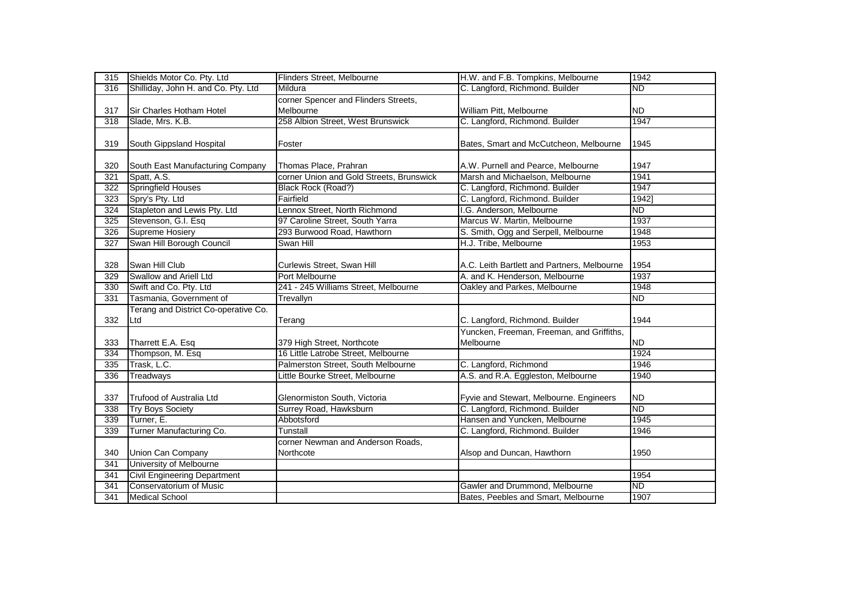| 315              | Shields Motor Co. Pty. Ltd           | Flinders Street, Melbourne               | H.W. and F.B. Tompkins, Melbourne           | 1942            |
|------------------|--------------------------------------|------------------------------------------|---------------------------------------------|-----------------|
| 316              | Shilliday, John H. and Co. Pty. Ltd  | Mildura                                  | C. Langford, Richmond. Builder              | <b>ND</b>       |
|                  |                                      | corner Spencer and Flinders Streets,     |                                             |                 |
| 317              | Sir Charles Hotham Hotel             | Melbourne                                | William Pitt, Melbourne                     | <b>ND</b>       |
| 318              | Slade, Mrs. K.B.                     | 258 Albion Street, West Brunswick        | C. Langford, Richmond. Builder              | 1947            |
|                  |                                      |                                          |                                             |                 |
| 319              | South Gippsland Hospital             | Foster                                   | Bates, Smart and McCutcheon, Melbourne      | 1945            |
|                  |                                      |                                          |                                             |                 |
| 320              | South East Manufacturing Company     | Thomas Place, Prahran                    | A.W. Purnell and Pearce, Melbourne          | 1947            |
| 321              | Spatt, A.S.                          | corner Union and Gold Streets, Brunswick | Marsh and Michaelson, Melbourne             | 1941            |
| 322              | <b>Springfield Houses</b>            | Black Rock (Road?)                       | C. Langford, Richmond. Builder              | 1947            |
| 323              | Spry's Pty. Ltd                      | Fairfield                                | C. Langford, Richmond. Builder              | 1942]           |
| 324              | Stapleton and Lewis Pty. Ltd         | Lennox Street, North Richmond            | I.G. Anderson, Melbourne                    | <b>ND</b>       |
| 325              | Stevenson, G.I. Esq                  | 97 Caroline Street, South Yarra          | Marcus W. Martin, Melbourne                 | 1937            |
| $\overline{326}$ | <b>Supreme Hosiery</b>               | 293 Burwood Road, Hawthorn               | S. Smith, Ogg and Serpell, Melbourne        | 1948            |
| 327              | Swan Hill Borough Council            | Swan Hill                                | H.J. Tribe, Melbourne                       | 1953            |
|                  |                                      |                                          |                                             |                 |
| 328              | Swan Hill Club                       | Curlewis Street, Swan Hill               | A.C. Leith Bartlett and Partners, Melbourne | 1954            |
| 329              | Swallow and Ariell Ltd               | Port Melbourne                           | A. and K. Henderson, Melbourne              | 1937            |
| 330              | Swift and Co. Pty. Ltd               | 241 - 245 Williams Street, Melbourne     | Oakley and Parkes, Melbourne                | 1948            |
| 331              | Tasmania, Government of              | Trevallyn                                |                                             | $\overline{ND}$ |
|                  | Terang and District Co-operative Co. |                                          |                                             |                 |
| 332              | Ltd                                  | Terang                                   | C. Langford, Richmond. Builder              | 1944            |
|                  |                                      |                                          | Yuncken, Freeman, Freeman, and Griffiths,   |                 |
| 333              | Tharrett E.A. Esq                    | 379 High Street, Northcote               | Melbourne                                   | <b>ND</b>       |
| 334              | Thompson, M. Esq                     | 16 Little Latrobe Street, Melbourne      |                                             | 1924            |
| 335              | Trask, L.C.                          | Palmerston Street, South Melbourne       | C. Langford, Richmond                       | 1946            |
| 336              | <b>Treadways</b>                     | Little Bourke Street, Melbourne          | A.S. and R.A. Eggleston, Melbourne          | 1940            |
|                  |                                      |                                          |                                             |                 |
| 337              | Trufood of Australia Ltd             | Glenormiston South, Victoria             | Fyvie and Stewart, Melbourne. Engineers     | <b>ND</b>       |
| 338              | <b>Try Boys Society</b>              | Surrey Road, Hawksburn                   | C. Langford, Richmond. Builder              | $\overline{ND}$ |
| 339              | Turner, E.                           | Abbotsford                               | Hansen and Yuncken, Melbourne               | 1945            |
| 339              | Turner Manufacturing Co.             | Tunstall                                 | C. Langford, Richmond. Builder              | 1946            |
|                  |                                      | corner Newman and Anderson Roads,        |                                             |                 |
| 340              | Union Can Company                    | Northcote                                | Alsop and Duncan, Hawthorn                  | 1950            |
| 341              | University of Melbourne              |                                          |                                             |                 |
| 341              | <b>Civil Engineering Department</b>  |                                          |                                             | 1954            |
| 341              | Conservatorium of Music              |                                          | Gawler and Drummond, Melbourne              | <b>ND</b>       |
| 341              | <b>Medical School</b>                |                                          | Bates, Peebles and Smart, Melbourne         | 1907            |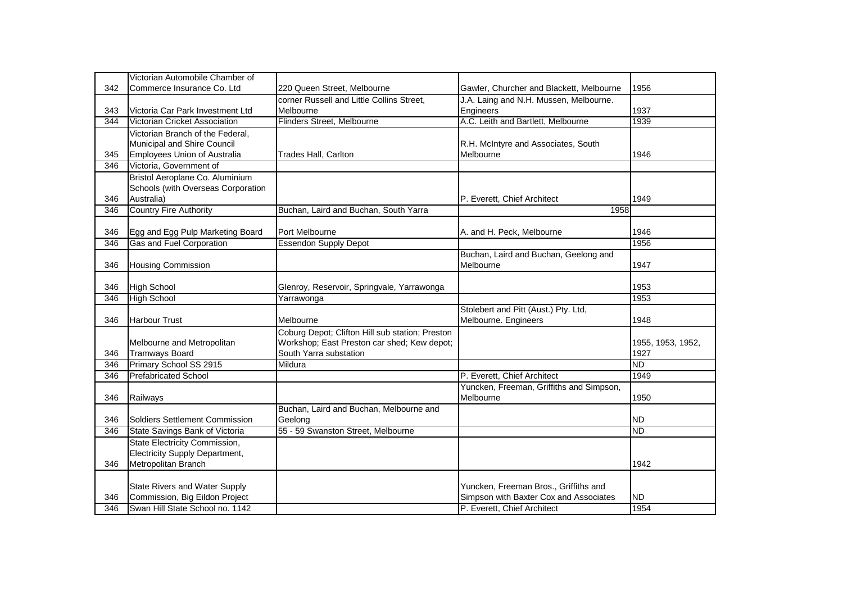|     | Victorian Automobile Chamber of       |                                                 |                                          |                   |
|-----|---------------------------------------|-------------------------------------------------|------------------------------------------|-------------------|
| 342 | Commerce Insurance Co. Ltd            | 220 Queen Street, Melbourne                     | Gawler, Churcher and Blackett, Melbourne | 1956              |
|     |                                       | corner Russell and Little Collins Street,       | J.A. Laing and N.H. Mussen, Melbourne.   |                   |
| 343 | Victoria Car Park Investment Ltd      | Melbourne                                       | Engineers                                | 1937              |
| 344 | Victorian Cricket Association         | Flinders Street, Melbourne                      | A.C. Leith and Bartlett, Melbourne       | 1939              |
|     | Victorian Branch of the Federal,      |                                                 |                                          |                   |
|     | Municipal and Shire Council           |                                                 | R.H. McIntyre and Associates, South      |                   |
| 345 | <b>Employees Union of Australia</b>   | Trades Hall, Carlton                            | Melbourne                                | 1946              |
| 346 | Victoria, Government of               |                                                 |                                          |                   |
|     | Bristol Aeroplane Co. Aluminium       |                                                 |                                          |                   |
|     | Schools (with Overseas Corporation    |                                                 |                                          |                   |
| 346 | Australia)                            |                                                 | P. Everett, Chief Architect              | 1949              |
| 346 | <b>Country Fire Authority</b>         | Buchan, Laird and Buchan, South Yarra           | 1958                                     |                   |
|     |                                       |                                                 |                                          |                   |
| 346 | Egg and Egg Pulp Marketing Board      | Port Melbourne                                  | A. and H. Peck, Melbourne                | 1946              |
| 346 | Gas and Fuel Corporation              | <b>Essendon Supply Depot</b>                    |                                          | 1956              |
|     |                                       |                                                 | Buchan, Laird and Buchan, Geelong and    |                   |
| 346 | <b>Housing Commission</b>             |                                                 | Melbourne                                | 1947              |
|     |                                       |                                                 |                                          |                   |
| 346 | <b>High School</b>                    | Glenroy, Reservoir, Springvale, Yarrawonga      |                                          | 1953              |
| 346 | <b>High School</b>                    | Yarrawonga                                      |                                          | 1953              |
|     |                                       |                                                 | Stolebert and Pitt (Aust.) Pty. Ltd,     |                   |
| 346 | <b>Harbour Trust</b>                  | Melbourne                                       | Melbourne. Engineers                     | 1948              |
|     |                                       | Coburg Depot; Clifton Hill sub station; Preston |                                          |                   |
|     | Melbourne and Metropolitan            | Workshop; East Preston car shed; Kew depot;     |                                          | 1955, 1953, 1952, |
| 346 | <b>Tramways Board</b>                 | South Yarra substation                          |                                          | 1927              |
| 346 | Primary School SS 2915                | Mildura                                         |                                          | <b>ND</b>         |
| 346 | <b>Prefabricated School</b>           |                                                 | P. Everett, Chief Architect              | 1949              |
|     |                                       |                                                 | Yuncken, Freeman, Griffiths and Simpson, |                   |
| 346 | Railways                              |                                                 | Melbourne                                | 1950              |
|     |                                       | Buchan, Laird and Buchan, Melbourne and         |                                          |                   |
| 346 | Soldiers Settlement Commission        | Geelong                                         |                                          | <b>ND</b>         |
| 346 | State Savings Bank of Victoria        | 55 - 59 Swanston Street, Melbourne              |                                          | <b>ND</b>         |
|     | State Electricity Commission,         |                                                 |                                          |                   |
|     | <b>Electricity Supply Department,</b> |                                                 |                                          |                   |
| 346 | Metropolitan Branch                   |                                                 |                                          | 1942              |
|     |                                       |                                                 |                                          |                   |
|     | State Rivers and Water Supply         |                                                 | Yuncken, Freeman Bros., Griffiths and    |                   |
| 346 | Commission, Big Eildon Project        |                                                 | Simpson with Baxter Cox and Associates   | <b>ND</b>         |
| 346 | Swan Hill State School no. 1142       |                                                 | P. Everett, Chief Architect              | 1954              |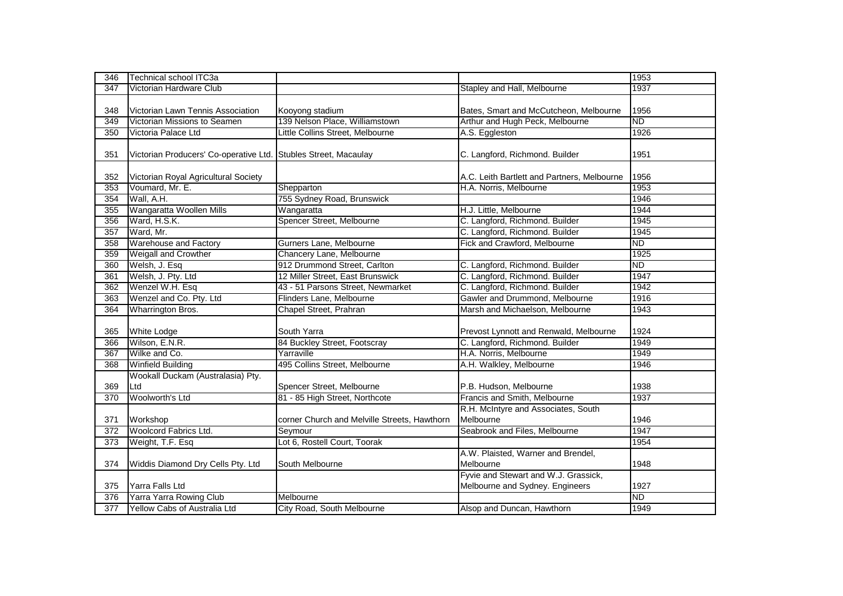| 346 | <b>Technical school ITC3a</b>                                   |                                              |                                             | 1953            |
|-----|-----------------------------------------------------------------|----------------------------------------------|---------------------------------------------|-----------------|
| 347 | Victorian Hardware Club                                         |                                              | Stapley and Hall, Melbourne                 | 1937            |
|     |                                                                 |                                              |                                             |                 |
| 348 | Victorian Lawn Tennis Association                               | Kooyong stadium                              | Bates, Smart and McCutcheon, Melbourne      | 1956            |
| 349 | Victorian Missions to Seamen                                    | 139 Nelson Place, Williamstown               | Arthur and Hugh Peck, Melbourne             | <b>ND</b>       |
| 350 | Victoria Palace Ltd                                             | Little Collins Street, Melbourne             | A.S. Eggleston                              | 1926            |
|     |                                                                 |                                              |                                             |                 |
| 351 | Victorian Producers' Co-operative Ltd. Stubles Street, Macaulay |                                              | C. Langford, Richmond. Builder              | 1951            |
|     |                                                                 |                                              |                                             |                 |
| 352 | Victorian Royal Agricultural Society                            |                                              | A.C. Leith Bartlett and Partners, Melbourne | 1956            |
| 353 | Voumard, Mr. E.                                                 | Shepparton                                   | H.A. Norris, Melbourne                      | 1953            |
| 354 | Wall, A.H.                                                      | 755 Sydney Road, Brunswick                   |                                             | 1946            |
| 355 | Wangaratta Woollen Mills                                        | Wangaratta                                   | H.J. Little, Melbourne                      | 1944            |
| 356 | Ward, H.S.K.                                                    | Spencer Street, Melbourne                    | C. Langford, Richmond. Builder              | 1945            |
| 357 | Ward, Mr.                                                       |                                              | C. Langford, Richmond. Builder              | 1945            |
| 358 | <b>Warehouse and Factory</b>                                    | Gurners Lane, Melbourne                      | Fick and Crawford, Melbourne                | <b>ND</b>       |
| 359 | Weigall and Crowther                                            | Chancery Lane, Melbourne                     |                                             | 1925            |
| 360 | Welsh, J. Esq                                                   | 912 Drummond Street, Carlton                 | C. Langford, Richmond. Builder              | $\overline{ND}$ |
| 361 | Welsh, J. Pty. Ltd                                              | 12 Miller Street, East Brunswick             | C. Langford, Richmond. Builder              | 1947            |
| 362 | Wenzel W.H. Esq                                                 | 43 - 51 Parsons Street, Newmarket            | C. Langford, Richmond. Builder              | 1942            |
| 363 | Wenzel and Co. Pty. Ltd                                         | Flinders Lane, Melbourne                     | Gawler and Drummond, Melbourne              | 1916            |
| 364 | Wharrington Bros.                                               | Chapel Street, Prahran                       | Marsh and Michaelson, Melbourne             | 1943            |
|     |                                                                 |                                              |                                             |                 |
| 365 | <b>White Lodge</b>                                              | South Yarra                                  | Prevost Lynnott and Renwald, Melbourne      | 1924            |
| 366 | Wilson, E.N.R.                                                  | 84 Buckley Street, Footscray                 | C. Langford, Richmond. Builder              | 1949            |
| 367 | Wilke and Co.                                                   | Yarraville                                   | H.A. Norris, Melbourne                      | 1949            |
| 368 | <b>Winfield Building</b>                                        | 495 Collins Street, Melbourne                | A.H. Walkley, Melbourne                     | 1946            |
|     | Wookall Duckam (Australasia) Pty.                               |                                              |                                             |                 |
| 369 | Ltd                                                             | Spencer Street, Melbourne                    | P.B. Hudson, Melbourne                      | 1938            |
| 370 | Woolworth's Ltd                                                 | 81 - 85 High Street, Northcote               | Francis and Smith, Melbourne                | 1937            |
|     |                                                                 |                                              | R.H. McIntyre and Associates, South         |                 |
| 371 | Workshop                                                        | corner Church and Melville Streets, Hawthorn | Melbourne                                   | 1946            |
| 372 | Woolcord Fabrics Ltd.                                           | Seymour                                      | Seabrook and Files, Melbourne               | 1947            |
| 373 | Weight, T.F. Esq                                                | Lot 6, Rostell Court, Toorak                 |                                             | 1954            |
|     |                                                                 |                                              | A.W. Plaisted, Warner and Brendel,          |                 |
| 374 | Widdis Diamond Dry Cells Pty. Ltd                               | South Melbourne                              | Melbourne                                   | 1948            |
|     |                                                                 |                                              | Fyvie and Stewart and W.J. Grassick,        |                 |
| 375 | Yarra Falls Ltd                                                 |                                              | Melbourne and Sydney. Engineers             | 1927            |
| 376 | Yarra Yarra Rowing Club                                         | Melbourne                                    |                                             | <b>ND</b>       |
| 377 | Yellow Cabs of Australia Ltd                                    | City Road, South Melbourne                   | Alsop and Duncan, Hawthorn                  | 1949            |